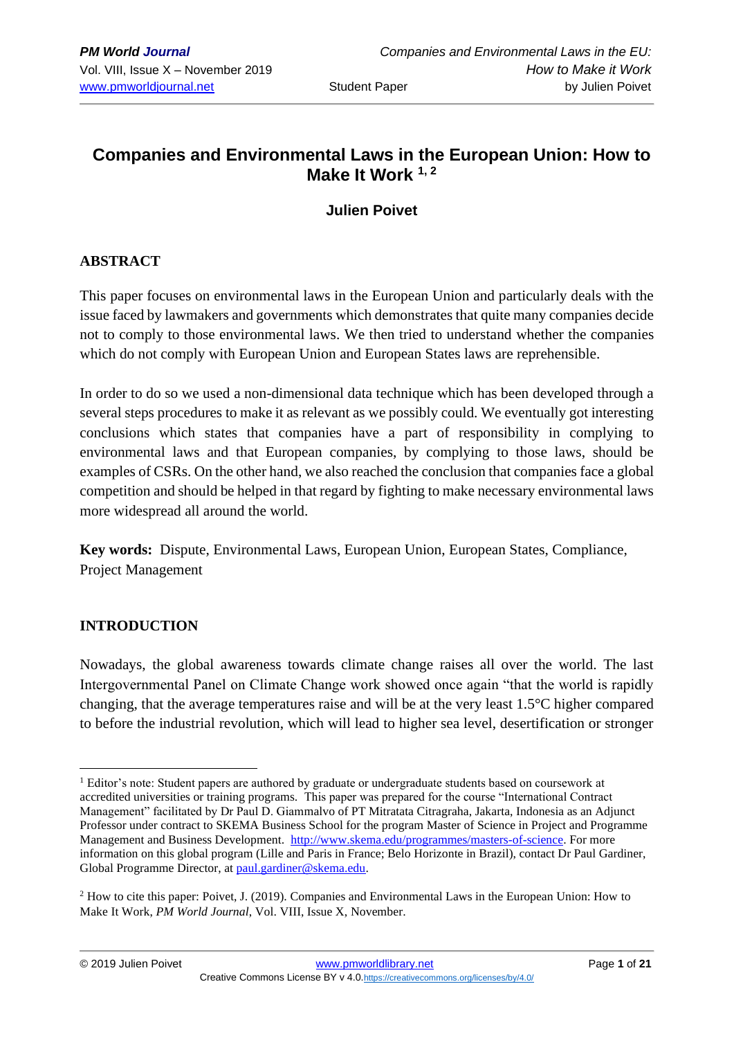# **Companies and Environmental Laws in the European Union: How to Make It Work 1, 2**

## **Julien Poivet**

## **ABSTRACT**

This paper focuses on environmental laws in the European Union and particularly deals with the issue faced by lawmakers and governments which demonstrates that quite many companies decide not to comply to those environmental laws. We then tried to understand whether the companies which do not comply with European Union and European States laws are reprehensible.

In order to do so we used a non-dimensional data technique which has been developed through a several steps procedures to make it as relevant as we possibly could. We eventually got interesting conclusions which states that companies have a part of responsibility in complying to environmental laws and that European companies, by complying to those laws, should be examples of CSRs. On the other hand, we also reached the conclusion that companies face a global competition and should be helped in that regard by fighting to make necessary environmental laws more widespread all around the world.

**Key words:** Dispute, Environmental Laws, European Union, European States, Compliance, Project Management

#### **INTRODUCTION**

Nowadays, the global awareness towards climate change raises all over the world. The last Intergovernmental Panel on Climate Change work showed once again "that the world is rapidly changing, that the average temperatures raise and will be at the very least 1.5°C higher compared to before the industrial revolution, which will lead to higher sea level, desertification or stronger

<sup>&</sup>lt;sup>1</sup> Editor's note: Student papers are authored by graduate or undergraduate students based on coursework at accredited universities or training programs. This paper was prepared for the course "International Contract Management" facilitated by Dr Paul D. Giammalvo of PT Mitratata Citragraha, Jakarta, Indonesia as an Adjunct Professor under contract to SKEMA Business School for the program Master of Science in Project and Programme Management and Business Development. [http://www.skema.edu/programmes/masters-of-science.](http://www.skema.edu/programmes/masters-of-science) For more information on this global program (Lille and Paris in France; Belo Horizonte in Brazil), contact Dr Paul Gardiner, Global Programme Director, a[t paul.gardiner@skema.edu.](mailto:paul.gardiner@skema.edu)

<sup>&</sup>lt;sup>2</sup> How to cite this paper: Poivet, J. (2019). Companies and Environmental Laws in the European Union: How to Make It Work, *PM World Journal*, Vol. VIII, Issue X, November.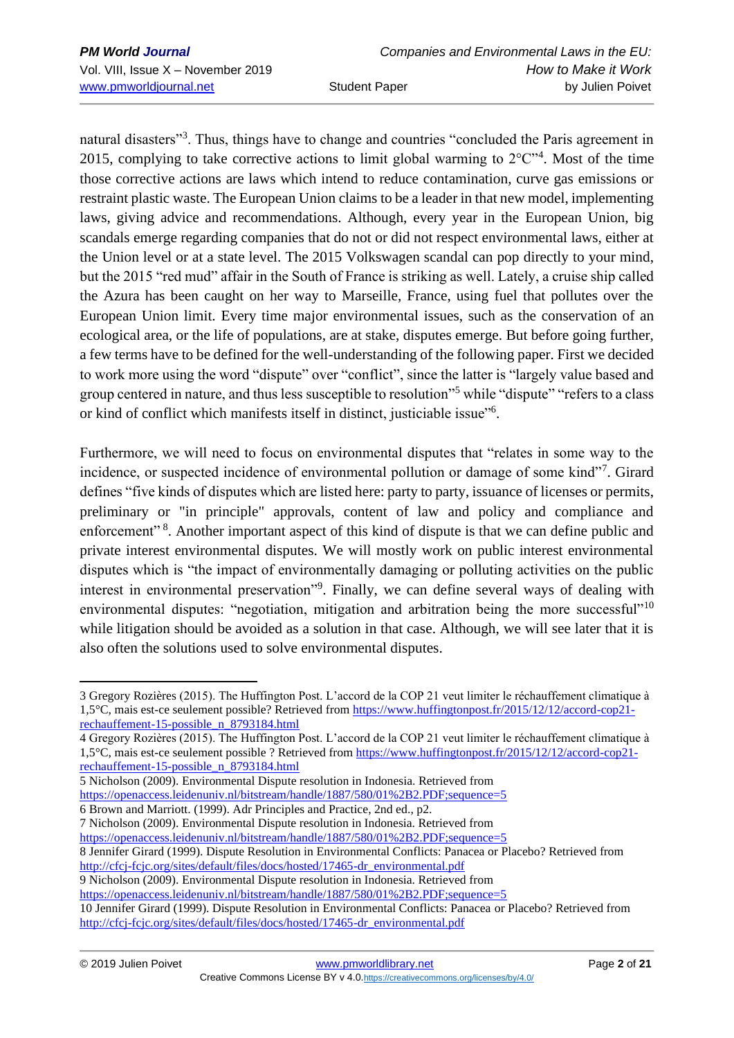natural disasters"<sup>3</sup>. Thus, things have to change and countries "concluded the Paris agreement in 2015, complying to take corrective actions to limit global warming to  $2^{\circ}C^{\cdot,4}$ . Most of the time those corrective actions are laws which intend to reduce contamination, curve gas emissions or restraint plastic waste. The European Union claims to be a leader in that new model, implementing laws, giving advice and recommendations. Although, every year in the European Union, big scandals emerge regarding companies that do not or did not respect environmental laws, either at the Union level or at a state level. The 2015 Volkswagen scandal can pop directly to your mind, but the 2015 "red mud" affair in the South of France is striking as well. Lately, a cruise ship called the Azura has been caught on her way to Marseille, France, using fuel that pollutes over the European Union limit. Every time major environmental issues, such as the conservation of an ecological area, or the life of populations, are at stake, disputes emerge. But before going further, a few terms have to be defined for the well-understanding of the following paper. First we decided to work more using the word "dispute" over "conflict", since the latter is "largely value based and group centered in nature, and thus less susceptible to resolution"<sup>5</sup> while "dispute" "refers to a class or kind of conflict which manifests itself in distinct, justiciable issue"<sup>6</sup> .

Furthermore, we will need to focus on environmental disputes that "relates in some way to the incidence, or suspected incidence of environmental pollution or damage of some kind"<sup>7</sup>. Girard defines "five kinds of disputes which are listed here: party to party, issuance of licenses or permits, preliminary or "in principle" approvals, content of law and policy and compliance and enforcement"<sup>8</sup>. Another important aspect of this kind of dispute is that we can define public and private interest environmental disputes. We will mostly work on public interest environmental disputes which is "the impact of environmentally damaging or polluting activities on the public interest in environmental preservation"<sup>9</sup>. Finally, we can define several ways of dealing with environmental disputes: "negotiation, mitigation and arbitration being the more successful"<sup>10</sup> while litigation should be avoided as a solution in that case. Although, we will see later that it is also often the solutions used to solve environmental disputes.

4 Gregory Rozières (2015). The Huffington Post. L'accord de la COP 21 veut limiter le réchauffement climatique à 1,5°C, mais est-ce seulement possible ? Retrieved fro[m https://www.huffingtonpost.fr/2015/12/12/accord-cop21](https://www.huffingtonpost.fr/2015/12/12/accord-cop21-rechauffement-15-possible_n_8793184.html) [rechauffement-15-possible\\_n\\_8793184.html](https://www.huffingtonpost.fr/2015/12/12/accord-cop21-rechauffement-15-possible_n_8793184.html)

5 Nicholson (2009). Environmental Dispute resolution in Indonesia. Retrieved from <https://openaccess.leidenuniv.nl/bitstream/handle/1887/580/01%2B2.PDF;sequence=5>

- 6 Brown and Marriott. (1999). Adr Principles and Practice, 2nd ed., p2.
- 7 Nicholson (2009). Environmental Dispute resolution in Indonesia. Retrieved from

<https://openaccess.leidenuniv.nl/bitstream/handle/1887/580/01%2B2.PDF;sequence=5> 8 Jennifer Girard (1999). Dispute Resolution in Environmental Conflicts: Panacea or Placebo? Retrieved from

[http://cfcj-fcjc.org/sites/default/files/docs/hosted/17465-dr\\_environmental.pdf](http://cfcj-fcjc.org/sites/default/files/docs/hosted/17465-dr_environmental.pdf)

9 Nicholson (2009). Environmental Dispute resolution in Indonesia. Retrieved from

<https://openaccess.leidenuniv.nl/bitstream/handle/1887/580/01%2B2.PDF;sequence=5>

<sup>3</sup> Gregory Rozières (2015). The Huffington Post. L'accord de la COP 21 veut limiter le réchauffement climatique à 1,5°C, mais est-ce seulement possible? Retrieved from [https://www.huffingtonpost.fr/2015/12/12/accord-cop21](https://www.huffingtonpost.fr/2015/12/12/accord-cop21-rechauffement-15-possible_n_8793184.html) [rechauffement-15-possible\\_n\\_8793184.html](https://www.huffingtonpost.fr/2015/12/12/accord-cop21-rechauffement-15-possible_n_8793184.html)

<sup>10</sup> Jennifer Girard (1999). Dispute Resolution in Environmental Conflicts: Panacea or Placebo? Retrieved from [http://cfcj-fcjc.org/sites/default/files/docs/hosted/17465-dr\\_environmental.pdf](http://cfcj-fcjc.org/sites/default/files/docs/hosted/17465-dr_environmental.pdf)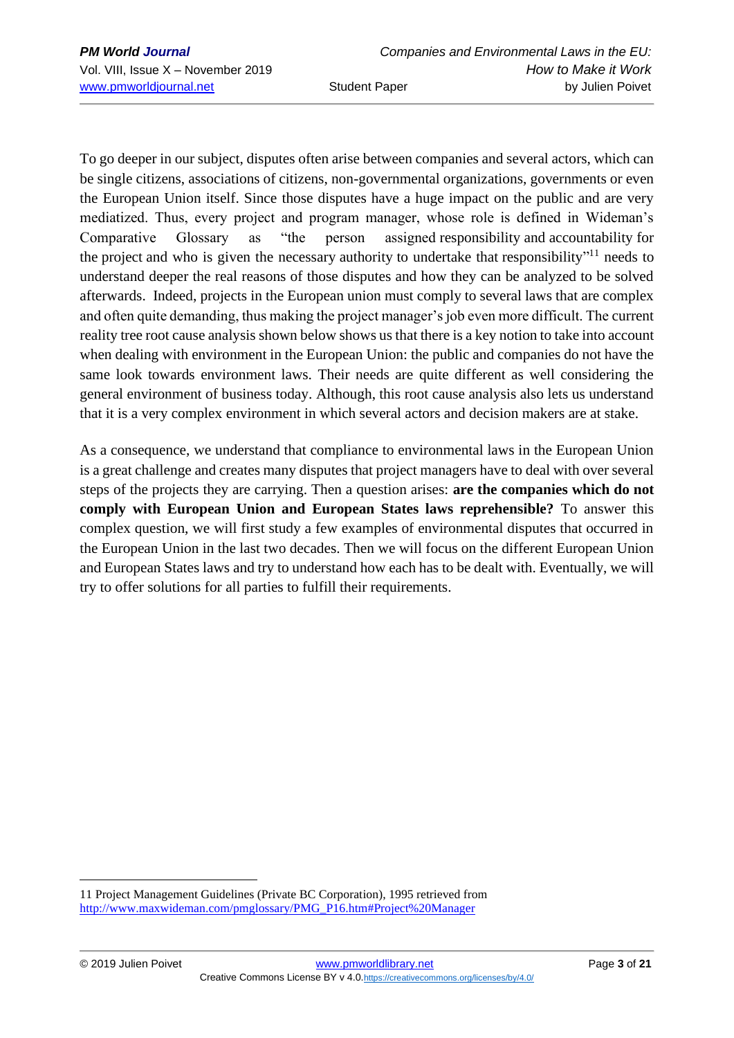To go deeper in our subject, disputes often arise between companies and several actors, which can be single citizens, associations of citizens, non-governmental organizations, governments or even the European Union itself. Since those disputes have a huge impact on the public and are very mediatized. Thus, every project and program manager, whose role is defined in Wideman's Comparative Glossary as "the person assigned [responsibility](http://www.maxwideman.com/pmglossary/PMG_R04.htm#Responsibility) and [accountability](http://www.maxwideman.com/pmglossary/PMG_A00.htm#Accountability) for the [project](http://www.maxwideman.com/pmglossary/PMG_P12.htm#Project) and who is given the necessary [authority](http://www.maxwideman.com/pmglossary/PMG_A06.htm#Authority) to undertake that [responsibility"](http://www.maxwideman.com/pmglossary/PMG_R04.htm#Responsibility)<sup>11</sup> needs to understand deeper the real reasons of those disputes and how they can be analyzed to be solved afterwards. Indeed, projects in the European union must comply to several laws that are complex and often quite demanding, thus making the project manager's job even more difficult. The current reality tree root cause analysis shown below shows us that there is a key notion to take into account when dealing with environment in the European Union: the public and companies do not have the same look towards environment laws. Their needs are quite different as well considering the general environment of business today. Although, this root cause analysis also lets us understand that it is a very complex environment in which several actors and decision makers are at stake.

As a consequence, we understand that compliance to environmental laws in the European Union is a great challenge and creates many disputes that project managers have to deal with over several steps of the projects they are carrying. Then a question arises: **are the companies which do not comply with European Union and European States laws reprehensible?** To answer this complex question, we will first study a few examples of environmental disputes that occurred in the European Union in the last two decades. Then we will focus on the different European Union and European States laws and try to understand how each has to be dealt with. Eventually, we will try to offer solutions for all parties to fulfill their requirements.

<sup>11</sup> Project Management Guidelines (Private BC Corporation), 1995 retrieved from [http://www.maxwideman.com/pmglossary/PMG\\_P16.htm#Project%20Manager](http://www.maxwideman.com/pmglossary/PMG_P16.htm#Project%20Manager)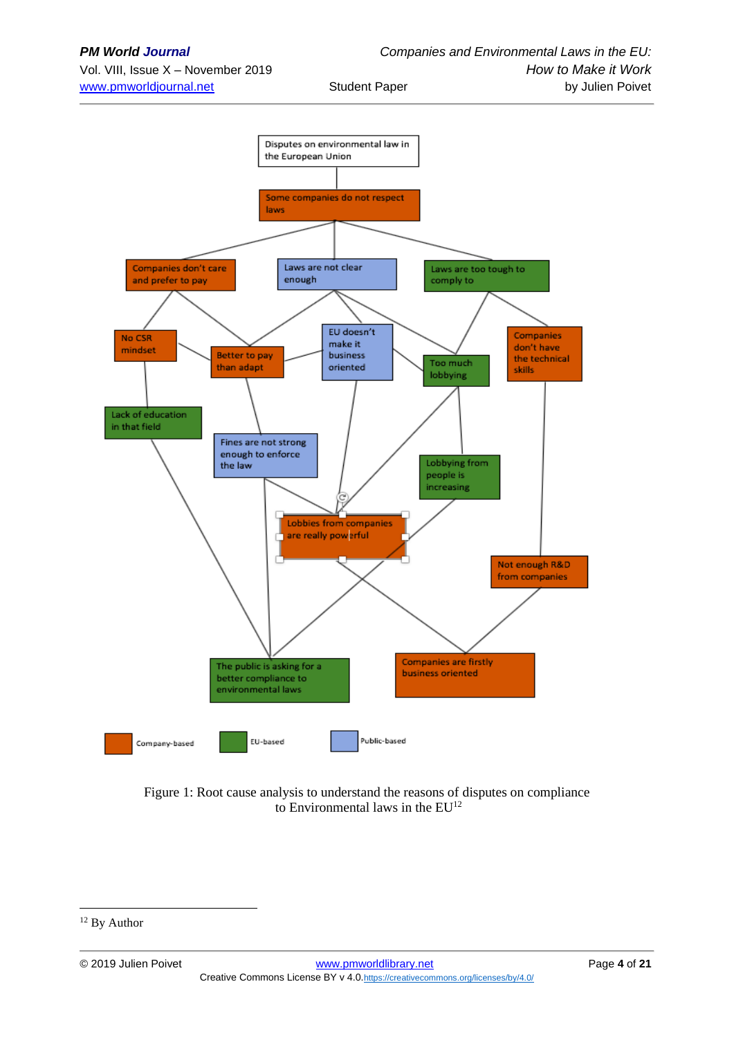

Figure 1: Root cause analysis to understand the reasons of disputes on compliance to Environmental laws in the EU<sup>12</sup>

<sup>&</sup>lt;sup>12</sup> By Author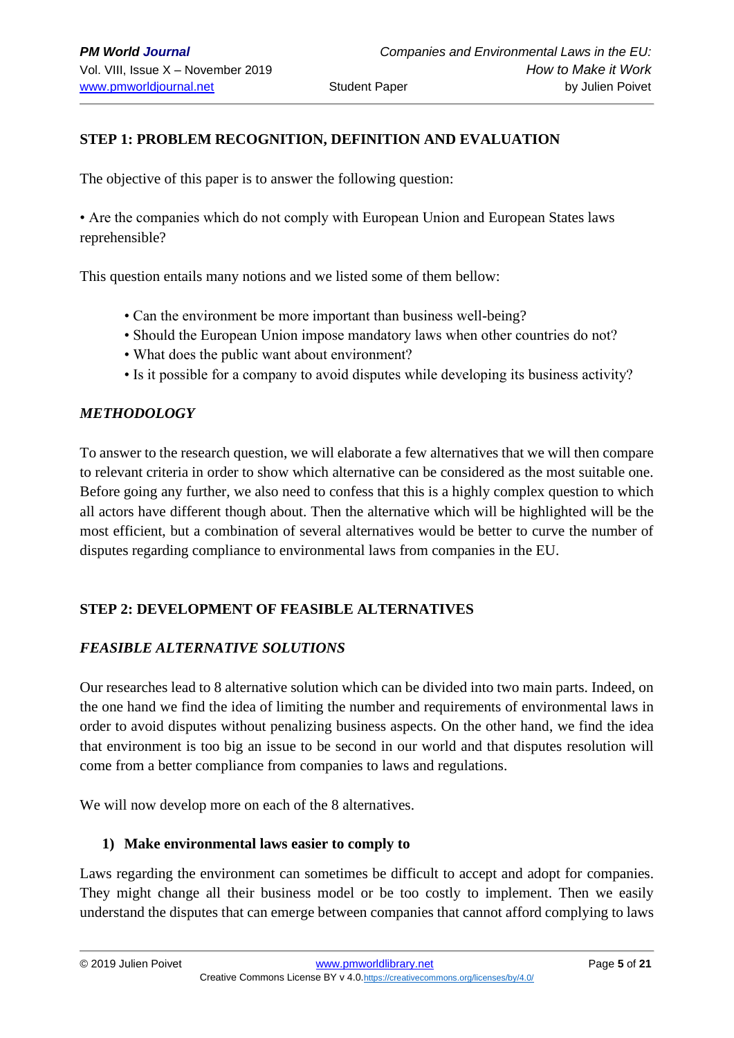## **STEP 1: PROBLEM RECOGNITION, DEFINITION AND EVALUATION**

The objective of this paper is to answer the following question:

• Are the companies which do not comply with European Union and European States laws reprehensible?

This question entails many notions and we listed some of them bellow:

- Can the environment be more important than business well-being?
- Should the European Union impose mandatory laws when other countries do not?
- What does the public want about environment?
- Is it possible for a company to avoid disputes while developing its business activity?

### *METHODOLOGY*

To answer to the research question, we will elaborate a few alternatives that we will then compare to relevant criteria in order to show which alternative can be considered as the most suitable one. Before going any further, we also need to confess that this is a highly complex question to which all actors have different though about. Then the alternative which will be highlighted will be the most efficient, but a combination of several alternatives would be better to curve the number of disputes regarding compliance to environmental laws from companies in the EU.

## **STEP 2: DEVELOPMENT OF FEASIBLE ALTERNATIVES**

#### *FEASIBLE ALTERNATIVE SOLUTIONS*

Our researches lead to 8 alternative solution which can be divided into two main parts. Indeed, on the one hand we find the idea of limiting the number and requirements of environmental laws in order to avoid disputes without penalizing business aspects. On the other hand, we find the idea that environment is too big an issue to be second in our world and that disputes resolution will come from a better compliance from companies to laws and regulations.

We will now develop more on each of the 8 alternatives.

## **1) Make environmental laws easier to comply to**

Laws regarding the environment can sometimes be difficult to accept and adopt for companies. They might change all their business model or be too costly to implement. Then we easily understand the disputes that can emerge between companies that cannot afford complying to laws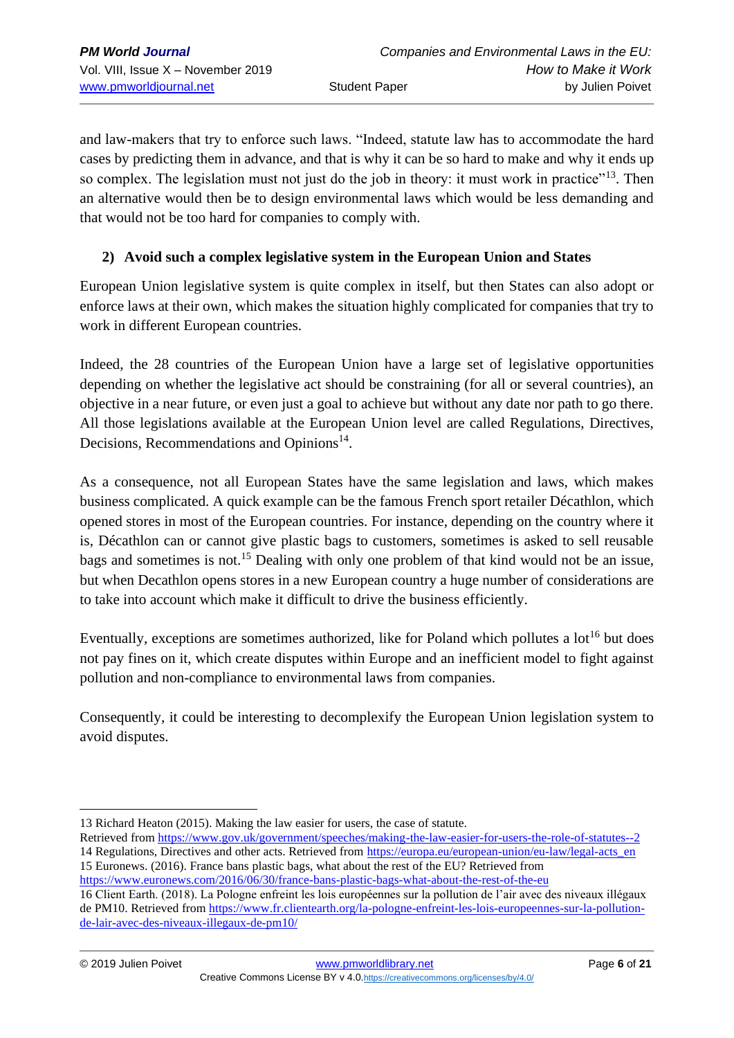and law-makers that try to enforce such laws. "Indeed, statute law has to accommodate the hard cases by predicting them in advance, and that is why it can be so hard to make and why it ends up so complex. The legislation must not just do the job in theory: it must work in practice"<sup>13</sup>. Then an alternative would then be to design environmental laws which would be less demanding and that would not be too hard for companies to comply with.

## **2) Avoid such a complex legislative system in the European Union and States**

European Union legislative system is quite complex in itself, but then States can also adopt or enforce laws at their own, which makes the situation highly complicated for companies that try to work in different European countries.

Indeed, the 28 countries of the European Union have a large set of legislative opportunities depending on whether the legislative act should be constraining (for all or several countries), an objective in a near future, or even just a goal to achieve but without any date nor path to go there. All those legislations available at the European Union level are called Regulations, Directives, Decisions, Recommendations and Opinions<sup>14</sup>.

As a consequence, not all European States have the same legislation and laws, which makes business complicated. A quick example can be the famous French sport retailer Décathlon, which opened stores in most of the European countries. For instance, depending on the country where it is, Décathlon can or cannot give plastic bags to customers, sometimes is asked to sell reusable bags and sometimes is not.<sup>15</sup> Dealing with only one problem of that kind would not be an issue, but when Decathlon opens stores in a new European country a huge number of considerations are to take into account which make it difficult to drive the business efficiently.

Eventually, exceptions are sometimes authorized, like for Poland which pollutes a  $10t^{16}$  but does not pay fines on it, which create disputes within Europe and an inefficient model to fight against pollution and non-compliance to environmental laws from companies.

Consequently, it could be interesting to decomplexify the European Union legislation system to avoid disputes.

<sup>13</sup> Richard Heaton (2015). Making the law easier for users, the case of statute.

Retrieved from<https://www.gov.uk/government/speeches/making-the-law-easier-for-users-the-role-of-statutes--2> 14 Regulations, Directives and other acts. Retrieved from [https://europa.eu/european-union/eu-law/legal-acts\\_en](https://europa.eu/european-union/eu-law/legal-acts_en) 15 Euronews. (2016). France bans plastic bags, what about the rest of the EU? Retrieved from <https://www.euronews.com/2016/06/30/france-bans-plastic-bags-what-about-the-rest-of-the-eu>

<sup>16</sup> Client Earth. (2018). La Pologne enfreint les lois européennes sur la pollution de l'air avec des niveaux illégaux de PM10. Retrieved fro[m https://www.fr.clientearth.org/la-pologne-enfreint-les-lois-europeennes-sur-la-pollution](https://www.fr.clientearth.org/la-pologne-enfreint-les-lois-europeennes-sur-la-pollution-de-lair-avec-des-niveaux-illegaux-de-pm10/)[de-lair-avec-des-niveaux-illegaux-de-pm10/](https://www.fr.clientearth.org/la-pologne-enfreint-les-lois-europeennes-sur-la-pollution-de-lair-avec-des-niveaux-illegaux-de-pm10/)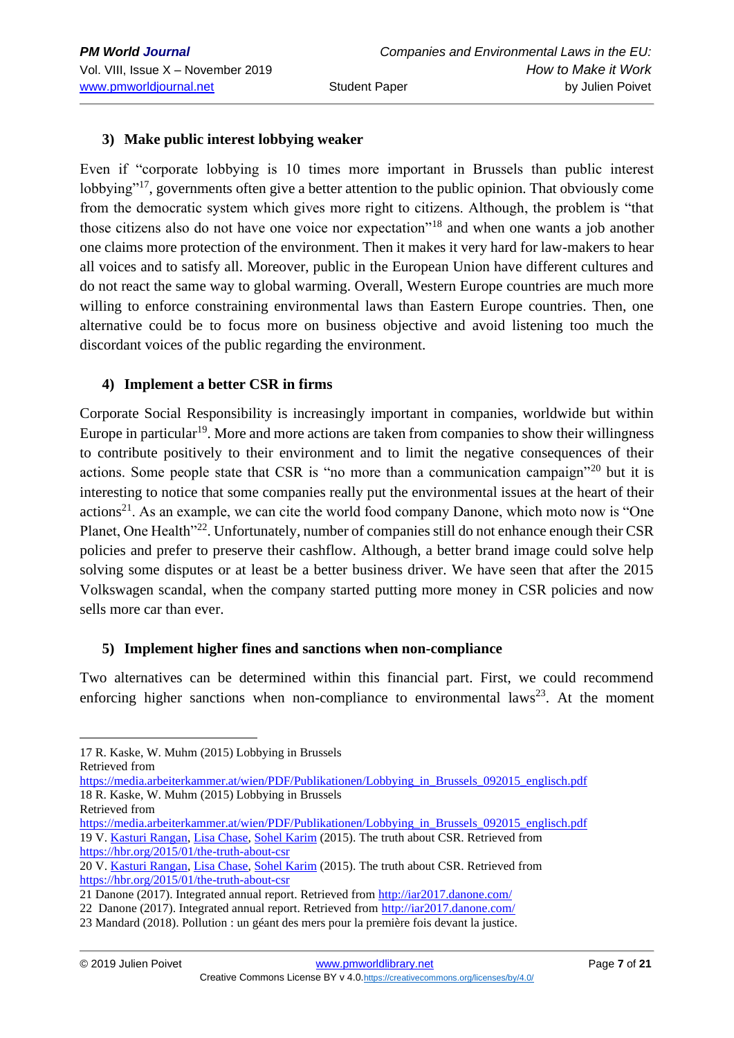## **3) Make public interest lobbying weaker**

Even if "corporate lobbying is 10 times more important in Brussels than public interest lobbying"<sup>17</sup>, governments often give a better attention to the public opinion. That obviously come from the democratic system which gives more right to citizens. Although, the problem is "that those citizens also do not have one voice nor expectation"<sup>18</sup> and when one wants a job another one claims more protection of the environment. Then it makes it very hard for law-makers to hear all voices and to satisfy all. Moreover, public in the European Union have different cultures and do not react the same way to global warming. Overall, Western Europe countries are much more willing to enforce constraining environmental laws than Eastern Europe countries. Then, one alternative could be to focus more on business objective and avoid listening too much the discordant voices of the public regarding the environment.

## **4) Implement a better CSR in firms**

Corporate Social Responsibility is increasingly important in companies, worldwide but within Europe in particular<sup>19</sup>. More and more actions are taken from companies to show their willingness to contribute positively to their environment and to limit the negative consequences of their actions. Some people state that CSR is "no more than a communication campaign"<sup>20</sup> but it is interesting to notice that some companies really put the environmental issues at the heart of their  $\arctan z^{21}$ . As an example, we can cite the world food company Danone, which moto now is "One Planet, One Health"<sup>22</sup>. Unfortunately, number of companies still do not enhance enough their CSR policies and prefer to preserve their cashflow. Although, a better brand image could solve help solving some disputes or at least be a better business driver. We have seen that after the 2015 Volkswagen scandal, when the company started putting more money in CSR policies and now sells more car than ever.

## **5) Implement higher fines and sanctions when non-compliance**

Two alternatives can be determined within this financial part. First, we could recommend enforcing higher sanctions when non-compliance to environmental laws<sup>23</sup>. At the moment

Retrieved from

[https://media.arbeiterkammer.at/wien/PDF/Publikationen/Lobbying\\_in\\_Brussels\\_092015\\_englisch.pdf](https://media.arbeiterkammer.at/wien/PDF/Publikationen/Lobbying_in_Brussels_092015_englisch.pdf) 18 R. Kaske, W. Muhm (2015) Lobbying in Brussels

- Retrieved from
- [https://media.arbeiterkammer.at/wien/PDF/Publikationen/Lobbying\\_in\\_Brussels\\_092015\\_englisch.pdf](https://media.arbeiterkammer.at/wien/PDF/Publikationen/Lobbying_in_Brussels_092015_englisch.pdf) 19 V[. Kasturi Rangan,](https://hbr.org/search?term=v.%20kasturi%20rangan) [Lisa Chase,](https://hbr.org/search?term=lisa%20chase) [Sohel Karim](https://hbr.org/search?term=sohel%20karim) (2015). The truth about CSR. Retrieved from <https://hbr.org/2015/01/the-truth-about-csr>
- 20 V[. Kasturi Rangan,](https://hbr.org/search?term=v.%20kasturi%20rangan) [Lisa Chase,](https://hbr.org/search?term=lisa%20chase) [Sohel Karim](https://hbr.org/search?term=sohel%20karim) (2015). The truth about CSR. Retrieved from <https://hbr.org/2015/01/the-truth-about-csr>

<sup>17</sup> R. Kaske, W. Muhm (2015) Lobbying in Brussels

<sup>21</sup> Danone (2017). Integrated annual report. Retrieved from<http://iar2017.danone.com/>

<sup>22</sup> Danone (2017). Integrated annual report. Retrieved from<http://iar2017.danone.com/>

<sup>23</sup> Mandard (2018). Pollution : un géant des mers pour la première fois devant la justice.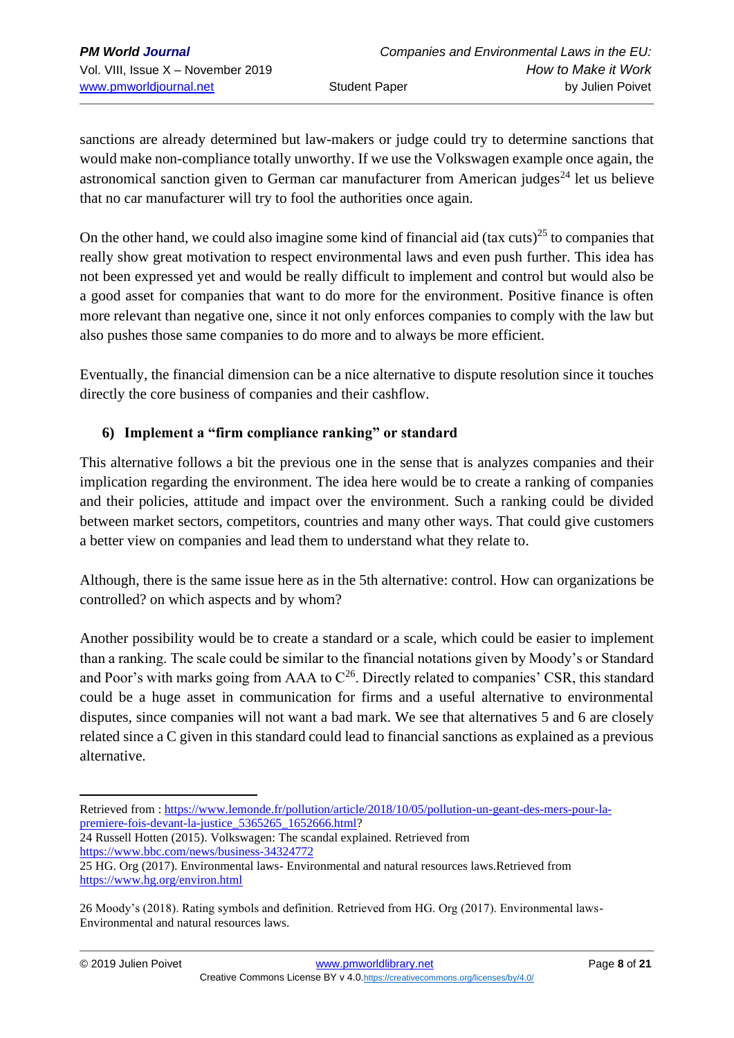sanctions are already determined but law-makers or judge could try to determine sanctions that would make non-compliance totally unworthy. If we use the Volkswagen example once again, the astronomical sanction given to German car manufacturer from American judges<sup>24</sup> let us believe that no car manufacturer will try to fool the authorities once again.

On the other hand, we could also imagine some kind of financial aid (tax cuts)<sup>25</sup> to companies that really show great motivation to respect environmental laws and even push further. This idea has not been expressed yet and would be really difficult to implement and control but would also be a good asset for companies that want to do more for the environment. Positive finance is often more relevant than negative one, since it not only enforces companies to comply with the law but also pushes those same companies to do more and to always be more efficient.

Eventually, the financial dimension can be a nice alternative to dispute resolution since it touches directly the core business of companies and their cashflow.

## **6) Implement a "firm compliance ranking" or standard**

This alternative follows a bit the previous one in the sense that is analyzes companies and their implication regarding the environment. The idea here would be to create a ranking of companies and their policies, attitude and impact over the environment. Such a ranking could be divided between market sectors, competitors, countries and many other ways. That could give customers a better view on companies and lead them to understand what they relate to.

Although, there is the same issue here as in the 5th alternative: control. How can organizations be controlled? on which aspects and by whom?

Another possibility would be to create a standard or a scale, which could be easier to implement than a ranking. The scale could be similar to the financial notations given by Moody's or Standard and Poor's with marks going from AAA to  $C^{26}$ . Directly related to companies' CSR, this standard could be a huge asset in communication for firms and a useful alternative to environmental disputes, since companies will not want a bad mark. We see that alternatives 5 and 6 are closely related since a C given in this standard could lead to financial sanctions as explained as a previous alternative.

24 Russell Hotten (2015). Volkswagen: The scandal explained. Retrieved from <https://www.bbc.com/news/business-34324772>

Retrieved from [: https://www.lemonde.fr/pollution/article/2018/10/05/pollution-un-geant-des-mers-pour-la](https://www.lemonde.fr/pollution/article/2018/10/05/pollution-un-geant-des-mers-pour-la-premiere-fois-devant-la-justice_5365265_1652666.html)[premiere-fois-devant-la-justice\\_5365265\\_1652666.html?](https://www.lemonde.fr/pollution/article/2018/10/05/pollution-un-geant-des-mers-pour-la-premiere-fois-devant-la-justice_5365265_1652666.html)

<sup>25</sup> HG. Org (2017). Environmental laws- Environmental and natural resources laws.Retrieved from <https://www.hg.org/environ.html>

<sup>26</sup> Moody's (2018). Rating symbols and definition. Retrieved from HG. Org (2017). Environmental laws-Environmental and natural resources laws.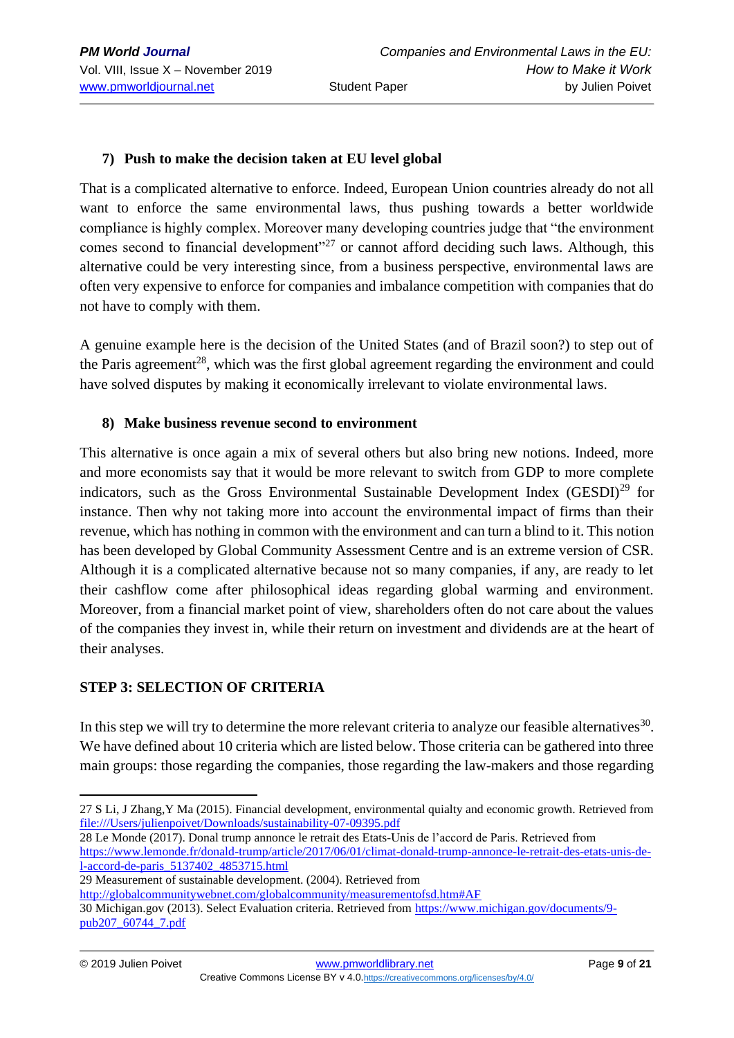### **7) Push to make the decision taken at EU level global**

That is a complicated alternative to enforce. Indeed, European Union countries already do not all want to enforce the same environmental laws, thus pushing towards a better worldwide compliance is highly complex. Moreover many developing countries judge that "the environment comes second to financial development"<sup>27</sup> or cannot afford deciding such laws. Although, this alternative could be very interesting since, from a business perspective, environmental laws are often very expensive to enforce for companies and imbalance competition with companies that do not have to comply with them.

A genuine example here is the decision of the United States (and of Brazil soon?) to step out of the Paris agreement<sup>28</sup>, which was the first global agreement regarding the environment and could have solved disputes by making it economically irrelevant to violate environmental laws.

#### **8) Make business revenue second to environment**

This alternative is once again a mix of several others but also bring new notions. Indeed, more and more economists say that it would be more relevant to switch from GDP to more complete indicators, such as the Gross Environmental Sustainable Development Index (GESDI)<sup>29</sup> for instance. Then why not taking more into account the environmental impact of firms than their revenue, which has nothing in common with the environment and can turn a blind to it. This notion has been developed by Global Community Assessment Centre and is an extreme version of CSR. Although it is a complicated alternative because not so many companies, if any, are ready to let their cashflow come after philosophical ideas regarding global warming and environment. Moreover, from a financial market point of view, shareholders often do not care about the values of the companies they invest in, while their return on investment and dividends are at the heart of their analyses.

#### **STEP 3: SELECTION OF CRITERIA**

In this step we will try to determine the more relevant criteria to analyze our feasible alternatives  $30$ . We have defined about 10 criteria which are listed below. Those criteria can be gathered into three main groups: those regarding the companies, those regarding the law-makers and those regarding

28 Le Monde (2017). Donal trump annonce le retrait des Etats-Unis de l'accord de Paris. Retrieved from [https://www.lemonde.fr/donald-trump/article/2017/06/01/climat-donald-trump-annonce-le-retrait-des-etats-unis-de](https://www.lemonde.fr/donald-trump/article/2017/06/01/climat-donald-trump-annonce-le-retrait-des-etats-unis-de-l-accord-de-paris_5137402_4853715.html)[l-accord-de-paris\\_5137402\\_4853715.html](https://www.lemonde.fr/donald-trump/article/2017/06/01/climat-donald-trump-annonce-le-retrait-des-etats-unis-de-l-accord-de-paris_5137402_4853715.html)

- 29 Measurement of sustainable development. (2004). Retrieved from
- <http://globalcommunitywebnet.com/globalcommunity/measurementofsd.htm#AF>

<sup>27</sup> S Li, J Zhang,Y Ma (2015). Financial development, environmental quialty and economic growth. Retrieved from [file:///Users/julienpoivet/Downloads/sustainability-07-09395.pdf](file:///C:/Users/julienpoivet/Downloads/sustainability-07-09395.pdf)

<sup>30</sup> Michigan.gov (2013). Select Evaluation criteria. Retrieved from [https://www.michigan.gov/documents/9](https://www.michigan.gov/documents/9-pub207_60744_7.pdf) [pub207\\_60744\\_7.pdf](https://www.michigan.gov/documents/9-pub207_60744_7.pdf)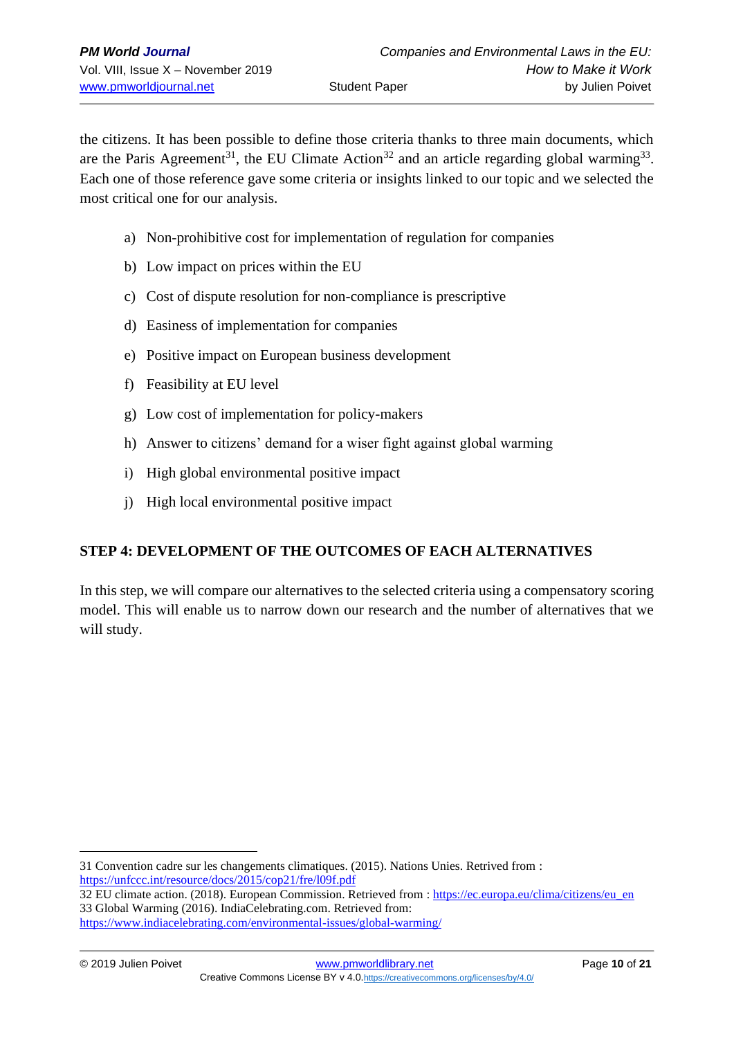the citizens. It has been possible to define those criteria thanks to three main documents, which are the Paris Agreement<sup>31</sup>, the EU Climate Action<sup>32</sup> and an article regarding global warming<sup>33</sup>. Each one of those reference gave some criteria or insights linked to our topic and we selected the most critical one for our analysis.

- a) Non-prohibitive cost for implementation of regulation for companies
- b) Low impact on prices within the EU
- c) Cost of dispute resolution for non-compliance is prescriptive
- d) Easiness of implementation for companies
- e) Positive impact on European business development
- f) Feasibility at EU level
- g) Low cost of implementation for policy-makers
- h) Answer to citizens' demand for a wiser fight against global warming
- i) High global environmental positive impact
- j) High local environmental positive impact

## **STEP 4: DEVELOPMENT OF THE OUTCOMES OF EACH ALTERNATIVES**

In this step, we will compare our alternatives to the selected criteria using a compensatory scoring model. This will enable us to narrow down our research and the number of alternatives that we will study.

<sup>31</sup> Convention cadre sur les changements climatiques. (2015). Nations Unies. Retrived from : <https://unfccc.int/resource/docs/2015/cop21/fre/l09f.pdf>

<sup>32</sup> EU climate action. (2018). European Commission. Retrieved from : [https://ec.europa.eu/clima/citizens/eu\\_en](https://ec.europa.eu/clima/citizens/eu_en) 33 Global Warming (2016). IndiaCelebrating.com. Retrieved from:

<https://www.indiacelebrating.com/environmental-issues/global-warming/>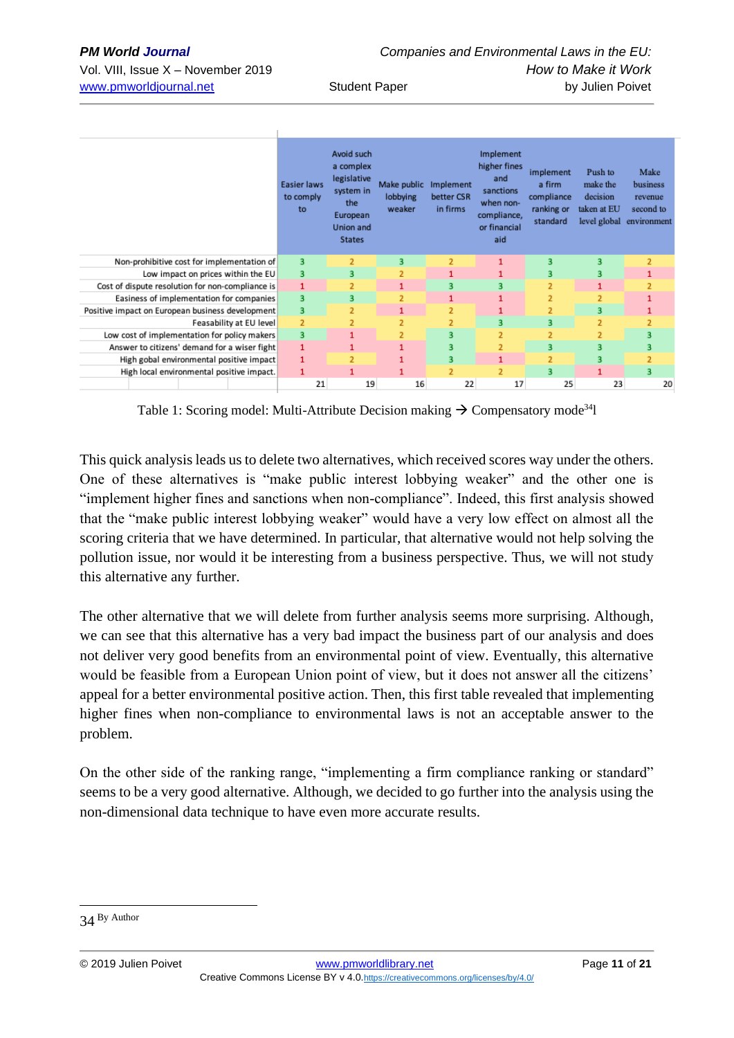|                                                  | <b>Easier laws</b><br>to comply<br>to | Avoid such<br>a complex<br>legislative<br>system in<br>the<br>European<br>Union and<br><b>States</b> | Make public Implement<br>lobbying<br>weaker | better CSR<br>in firms | Implement<br>higher fines<br>and<br>sanctions<br>when non-<br>compliance,<br>or financial<br>aid | implement<br>a firm<br>compliance<br>ranking or<br>standard | Push to<br>make the<br>decision<br>taken at EU<br>level global | Make<br>business<br>revenue<br>second to<br>environment |
|--------------------------------------------------|---------------------------------------|------------------------------------------------------------------------------------------------------|---------------------------------------------|------------------------|--------------------------------------------------------------------------------------------------|-------------------------------------------------------------|----------------------------------------------------------------|---------------------------------------------------------|
| Non-prohibitive cost for implementation of       | 3                                     | $\overline{2}$                                                                                       | 3                                           | $\overline{2}$         | 1                                                                                                | 3                                                           | з                                                              | $\overline{2}$                                          |
| Low impact on prices within the EU               | 3                                     | 3                                                                                                    | $\overline{2}$                              |                        |                                                                                                  | з.                                                          | з                                                              | 1                                                       |
| Cost of dispute resolution for non-compliance is | $\mathbf{1}$                          | $\overline{2}$                                                                                       | 1                                           | 3                      | 3                                                                                                | $\overline{2}$                                              | 1                                                              | $\overline{z}$                                          |
| Easiness of implementation for companies         | 3                                     | 3                                                                                                    | $\overline{2}$                              | 1                      |                                                                                                  | 2                                                           | $\overline{2}$                                                 | 1                                                       |
| Positive impact on European business development | 3                                     | $\overline{2}$                                                                                       | 1                                           | $\overline{2}$         |                                                                                                  | $\overline{2}$                                              | з                                                              |                                                         |
| Feasability at EU level                          | $\overline{2}$                        | $\overline{2}$                                                                                       | $\overline{2}$                              | $\overline{2}$         | 3                                                                                                | з.                                                          | $\overline{2}$                                                 | $\overline{2}$                                          |
| Low cost of implementation for policy makers     | 3                                     | 1                                                                                                    | $\overline{2}$                              | 3                      | $\overline{2}$                                                                                   | $\overline{2}$                                              | 2                                                              | 3                                                       |
| Answer to citizens' demand for a wiser fight     | 1                                     | 1                                                                                                    |                                             | 3                      | $\overline{2}$                                                                                   | 3.                                                          | 3                                                              | 3                                                       |
| High gobal environmental positive impact         | 1                                     | $\overline{2}$                                                                                       |                                             | 3                      | $\mathbf{1}$                                                                                     | $\overline{2}$                                              | 3                                                              | $\overline{2}$                                          |
| High local environmental positive impact.        | 1                                     | $\mathbf{1}$                                                                                         | 1                                           | $\overline{2}$         | $\overline{2}$                                                                                   | $\overline{a}$                                              | 1                                                              | 3                                                       |
|                                                  | 21                                    | 19                                                                                                   | 16                                          | 22                     | 17                                                                                               | 25                                                          | 23                                                             | 20                                                      |

Table 1: Scoring model: Multi-Attribute Decision making  $\rightarrow$  Compensatory mode<sup>34</sup>l

This quick analysis leads us to delete two alternatives, which received scores way under the others. One of these alternatives is "make public interest lobbying weaker" and the other one is "implement higher fines and sanctions when non-compliance". Indeed, this first analysis showed that the "make public interest lobbying weaker" would have a very low effect on almost all the scoring criteria that we have determined. In particular, that alternative would not help solving the pollution issue, nor would it be interesting from a business perspective. Thus, we will not study this alternative any further.

The other alternative that we will delete from further analysis seems more surprising. Although, we can see that this alternative has a very bad impact the business part of our analysis and does not deliver very good benefits from an environmental point of view. Eventually, this alternative would be feasible from a European Union point of view, but it does not answer all the citizens' appeal for a better environmental positive action. Then, this first table revealed that implementing higher fines when non-compliance to environmental laws is not an acceptable answer to the problem.

On the other side of the ranking range, "implementing a firm compliance ranking or standard" seems to be a very good alternative. Although, we decided to go further into the analysis using the non-dimensional data technique to have even more accurate results.

<sup>34</sup> By Author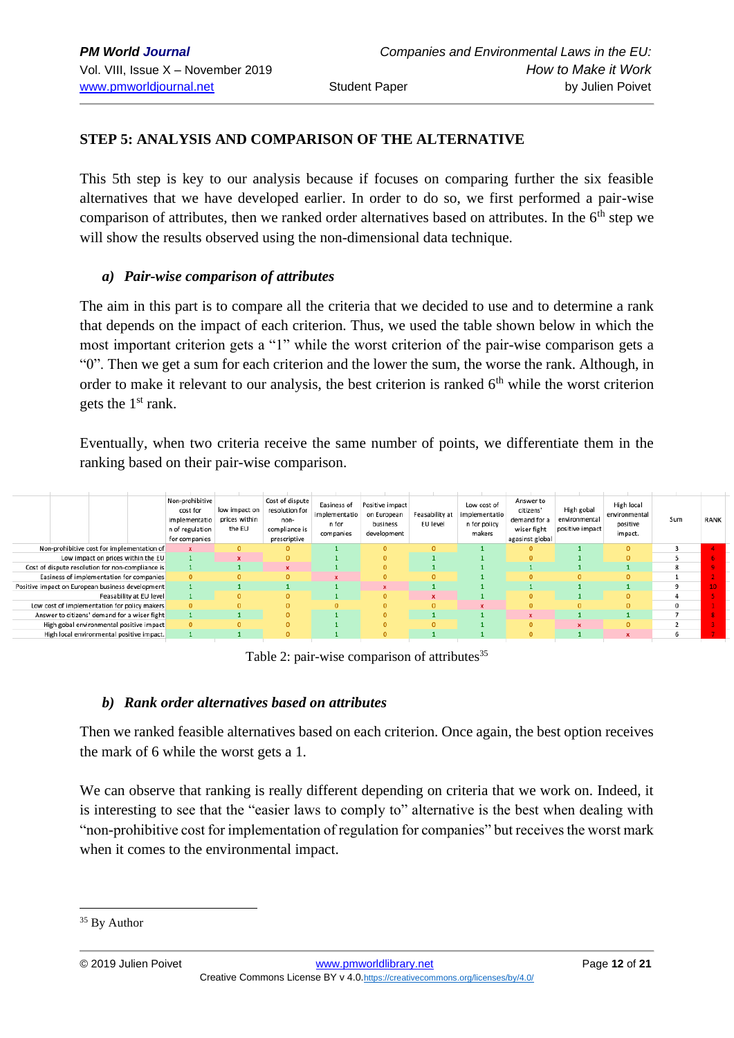## **STEP 5: ANALYSIS AND COMPARISON OF THE ALTERNATIVE**

This 5th step is key to our analysis because if focuses on comparing further the six feasible alternatives that we have developed earlier. In order to do so, we first performed a pair-wise comparison of attributes, then we ranked order alternatives based on attributes. In the 6<sup>th</sup> step we will show the results observed using the non-dimensional data technique.

### *a) Pair-wise comparison of attributes*

The aim in this part is to compare all the criteria that we decided to use and to determine a rank that depends on the impact of each criterion. Thus, we used the table shown below in which the most important criterion gets a "1" while the worst criterion of the pair-wise comparison gets a "0". Then we get a sum for each criterion and the lower the sum, the worse the rank. Although, in order to make it relevant to our analysis, the best criterion is ranked  $6<sup>th</sup>$  while the worst criterion gets the  $1<sup>st</sup>$  rank.

Eventually, when two criteria receive the same number of points, we differentiate them in the ranking based on their pair-wise comparison.

|                                                  | Non-prohibitive<br>cost for<br>implementatio<br>n of regulation<br>for companies | low impact on<br>prices within<br>the EU | Cost of dispute<br>resolution for<br>non-<br>compliance is<br>prescriptive | Easiness of<br>implementatio<br>n for<br>companies | Positive impact<br>on European<br>business<br>development | Feasability at<br>EU level | Low cost of<br>implementatio<br>n for policy<br>makers | Answer to<br>citizens'<br>demand for a<br>wiser fight<br>agasinst global | High gobal<br>environmental<br>positive impact | High local<br>environmental<br>positive<br>impact. | Sum | RANK |
|--------------------------------------------------|----------------------------------------------------------------------------------|------------------------------------------|----------------------------------------------------------------------------|----------------------------------------------------|-----------------------------------------------------------|----------------------------|--------------------------------------------------------|--------------------------------------------------------------------------|------------------------------------------------|----------------------------------------------------|-----|------|
| Non-prohibitive cost for implementation of       | $\mathbf x$                                                                      |                                          | $\Omega$                                                                   |                                                    | $\Omega$                                                  | $\Omega$                   |                                                        | 0                                                                        |                                                | $\Omega$                                           |     |      |
| Low impact on prices within the EU               |                                                                                  |                                          | $\mathbf{0}$                                                               |                                                    |                                                           |                            |                                                        | 0                                                                        |                                                |                                                    |     |      |
| Cost of dispute resolution for non-compliance is |                                                                                  |                                          |                                                                            |                                                    | 0                                                         |                            |                                                        |                                                                          |                                                |                                                    |     |      |
| Easiness of implementation for companies         | $\mathbf{0}$                                                                     |                                          | $\mathbf{0}$                                                               |                                                    | $\Omega$                                                  | $\Omega$                   |                                                        | $\Omega$                                                                 |                                                | $\Omega$                                           |     |      |
| Positive impact on European business development |                                                                                  |                                          |                                                                            |                                                    | $\mathbf{x}$                                              |                            |                                                        |                                                                          |                                                |                                                    |     |      |
| Feasability at EU level                          |                                                                                  |                                          | $\Omega$                                                                   |                                                    |                                                           |                            |                                                        | $\Omega$                                                                 |                                                | $\Omega$                                           |     |      |
| Low cost of implementation for policy makers     | $\mathbf{0}$                                                                     |                                          | $\mathbf{0}$                                                               |                                                    |                                                           |                            |                                                        | $\Omega$                                                                 |                                                |                                                    |     |      |
| Answer to citizens' demand for a wiser fight     |                                                                                  |                                          | $\mathbf{0}$                                                               |                                                    |                                                           |                            |                                                        |                                                                          |                                                |                                                    |     |      |
| High gobal environmental positive impact         | $\mathbf{0}$                                                                     |                                          | $\Omega$                                                                   |                                                    |                                                           | n.                         |                                                        | 0                                                                        |                                                | $\Omega$                                           |     |      |
| High local environmental positive impact.        |                                                                                  |                                          | $\Omega$                                                                   |                                                    | $\Omega$                                                  |                            |                                                        | $\overline{0}$                                                           |                                                |                                                    |     |      |

Table 2: pair-wise comparison of attributes $35$ 

#### *b) Rank order alternatives based on attributes*

Then we ranked feasible alternatives based on each criterion. Once again, the best option receives the mark of 6 while the worst gets a 1.

We can observe that ranking is really different depending on criteria that we work on. Indeed, it is interesting to see that the "easier laws to comply to" alternative is the best when dealing with "non-prohibitive cost for implementation of regulation for companies" but receives the worst mark when it comes to the environmental impact.

<sup>&</sup>lt;sup>35</sup> By Author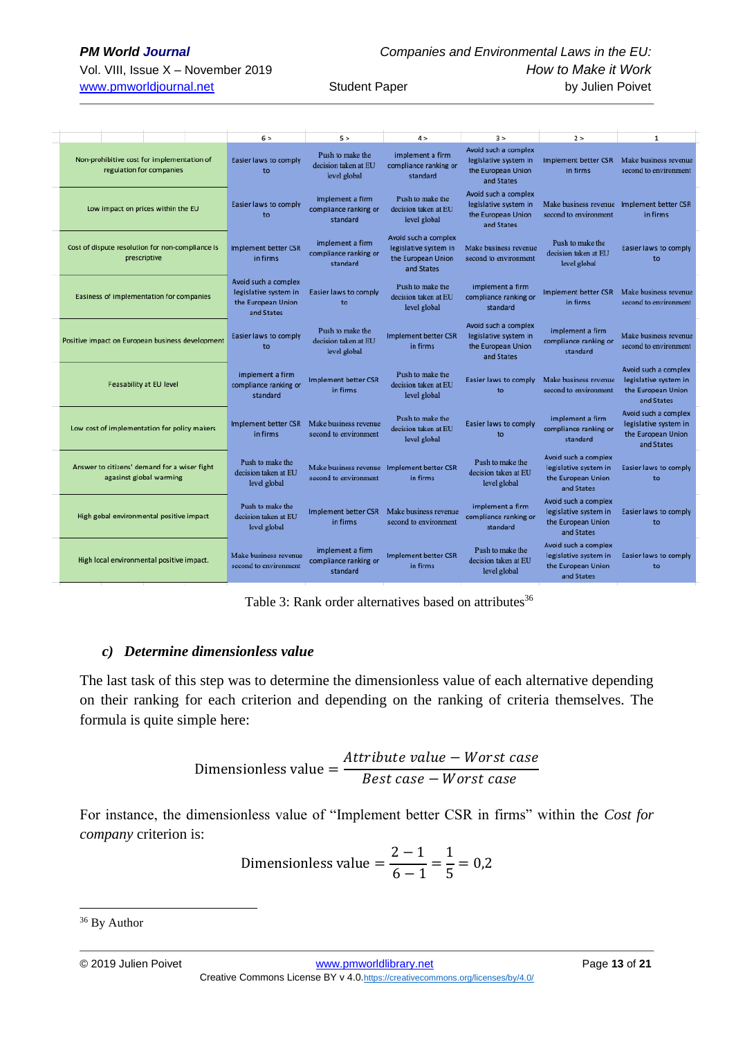|                                                                         | 6 >                                                                               | 5 >                                                                 | 4 >                                                                               | 3 >                                                                               | 2 >                                                                               | $\mathbf{1}$                                                                      |
|-------------------------------------------------------------------------|-----------------------------------------------------------------------------------|---------------------------------------------------------------------|-----------------------------------------------------------------------------------|-----------------------------------------------------------------------------------|-----------------------------------------------------------------------------------|-----------------------------------------------------------------------------------|
| Non-prohibitive cost for implementation of<br>regulation for companies  | Easier laws to comply<br>to                                                       | Push to make the<br>decision taken at EU<br>level global            | implement a firm<br>compliance ranking or<br>standard                             | Avoid such a complex<br>legislative system in<br>the European Union<br>and States | Implement better CSR<br>in firms                                                  | Make business revenue<br>second to environment                                    |
| Low impact on prices within the EU                                      | Easier laws to comply<br>to                                                       | implement a firm<br>compliance ranking or<br>standard               | Push to make the<br>decision taken at EU<br>level global                          | Avoid such a complex<br>legislative system in<br>the European Union<br>and States | Make business revenue Implement better CSR<br>second to environment               | in firms                                                                          |
| Cost of dispute resolution for non-compliance is<br>prescriptive        | <b>Implement better CSR</b><br>in firms                                           | implement a firm<br>compliance ranking or<br>standard               | Avoid such a complex<br>legislative system in<br>the European Union<br>and States | Make business revenue<br>second to environment                                    | Push to make the<br>decision taken at EU<br>level global                          | Easier laws to comply<br>to                                                       |
| Easiness of implementation for companies                                | Avoid such a complex<br>legislative system in<br>the European Union<br>and States | Easier laws to comply<br>to                                         | Push to make the<br>decision taken at EU<br>level global                          | implement a firm<br>compliance ranking or<br>standard                             | Implement better CSR<br>in firms                                                  | Make business revenue<br>second to environment                                    |
| Positive impact on European business development                        | Easier laws to comply<br>to                                                       | Push to make the<br>decision taken at EU<br>level global            | <b>Implement better CSR</b><br>in firms                                           | Avoid such a complex<br>legislative system in<br>the European Union<br>and States | implement a firm<br>compliance ranking or<br>standard                             | Make business revenue<br>second to environment                                    |
| Feasability at EU level                                                 | implement a firm<br>compliance ranking or<br>standard                             | <b>Implement better CSR</b><br>in firms                             | Push to make the<br>decision taken at EU<br>level global                          | Easier laws to comply<br>to                                                       | Make business revenue<br>second to environment                                    | Avoid such a complex<br>legislative system in<br>the European Union<br>and States |
| Low cost of implementation for policy makers                            | Implement better CSR<br>in firms                                                  | Make business revenue<br>second to environment                      | Push to make the<br>decision taken at EU<br>level global                          | Easier laws to comply<br>to                                                       | implement a firm<br>compliance ranking or<br>standard                             | Avoid such a complex<br>legislative system in<br>the European Union<br>and States |
| Answer to citizens' demand for a wiser fight<br>agasinst global warming | Push to make the<br>decision taken at EU<br>level global                          | Make business revenue Implement better CSR<br>second to environment | in firms                                                                          | Push to make the<br>decision taken at EU<br>level global                          | Avoid such a complex<br>legislative system in<br>the European Union<br>and States | Easier laws to comply<br>to                                                       |
| High gobal environmental positive impact                                | Push to make the<br>decision taken at EU<br>level global                          | <b>Implement better CSR</b><br>in firms                             | Make business revenue<br>second to environment                                    | implement a firm<br>compliance ranking or<br>standard                             | Avoid such a complex<br>legislative system in<br>the European Union<br>and States | Easier laws to comply<br>to                                                       |
| High local environmental positive impact.                               | Make business revenue<br>second to environment                                    | implement a firm<br>compliance ranking or<br>standard               | <b>Implement better CSR</b><br>in firms                                           | Push to make the<br>decision taken at EU<br>level global                          | Avoid such a complex<br>legislative system in<br>the European Union<br>and States | Easier laws to comply<br>to                                                       |

Table 3: Rank order alternatives based on attributes<sup>36</sup>

#### *c) Determine dimensionless value*

The last task of this step was to determine the dimensionless value of each alternative depending on their ranking for each criterion and depending on the ranking of criteria themselves. The formula is quite simple here:

Dimensionless value = 
$$
\frac{Attribute\ value - Worst\ case}{Best\ case - Worst\ case}
$$

For instance, the dimensionless value of "Implement better CSR in firms" within the *Cost for company* criterion is:

Dimensionless value = 
$$
\frac{2-1}{6-1} = \frac{1}{5} = 0.2
$$

<sup>36</sup> By Author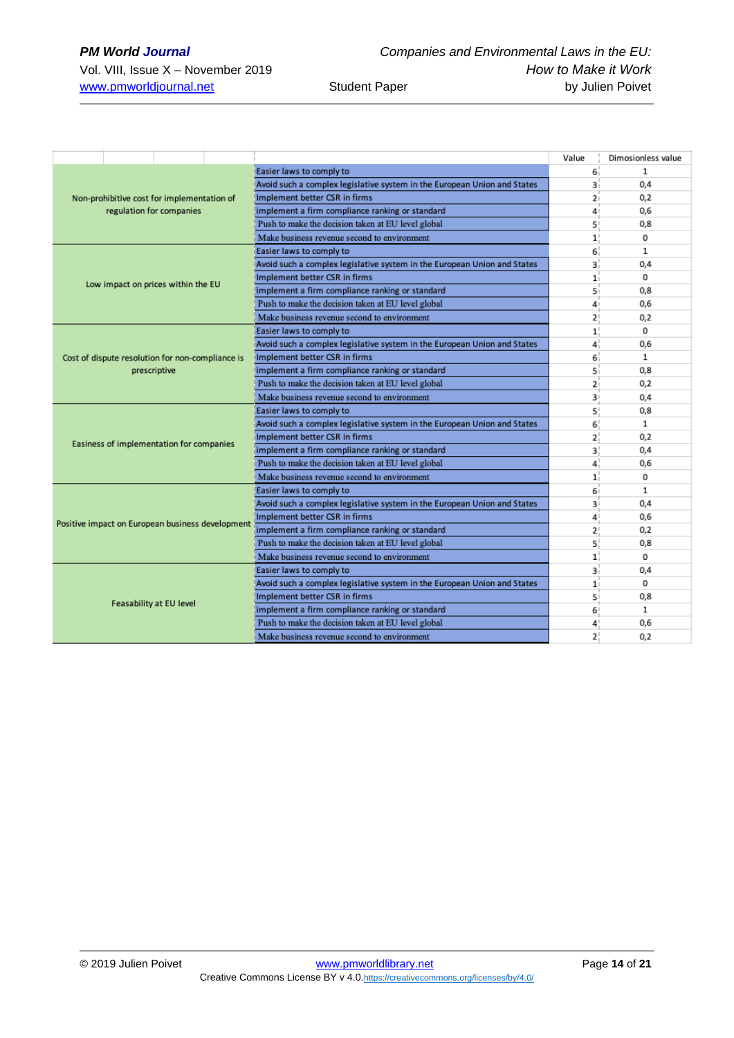|                                                  |                                                                          | Value          | Dimosionless value |
|--------------------------------------------------|--------------------------------------------------------------------------|----------------|--------------------|
|                                                  | Easier laws to comply to                                                 | 6 <sup>1</sup> | 1                  |
|                                                  | Avoid such a complex legislative system in the European Union and States | 3i             | 0,4                |
| Non-prohibitive cost for implementation of       | Implement better CSR in firms                                            | 2 <sub>1</sub> | 0,2                |
| regulation for companies                         | implement a firm compliance ranking or standard                          | 4              | 0,6                |
|                                                  | Push to make the decision taken at EU level global                       | 5 <sup>1</sup> | 0,8                |
|                                                  | Make business revenue second to environment                              | 1!             | 0                  |
|                                                  | Easier laws to comply to                                                 | 6 <sup>1</sup> | $\mathbf{1}$       |
|                                                  | Avoid such a complex legislative system in the European Union and States | 3 <sup>1</sup> | 0.4                |
|                                                  | Implement better CSR in firms                                            | 1 <sub>i</sub> | 0                  |
| Low impact on prices within the EU               | implement a firm compliance ranking or standard                          | 5 <sub>1</sub> | 0,8                |
|                                                  | Push to make the decision taken at EU level global                       | 4              | 0,6                |
|                                                  | Make business revenue second to environment                              | 2 <sup>1</sup> | 0,2                |
|                                                  | Easier laws to comply to                                                 | 1              | 0                  |
|                                                  | Avoid such a complex legislative system in the European Union and States | 4              | 0,6                |
| Cost of dispute resolution for non-compliance is | Implement better CSR in firms                                            | 6 <sup>1</sup> | 1                  |
| prescriptive                                     | implement a firm compliance ranking or standard                          | 5i             | 0,8                |
|                                                  | Push to make the decision taken at EU level global                       | 2 <sub>i</sub> | 0,2                |
|                                                  | Make business revenue second to environment                              | 3 <sup>1</sup> | 0,4                |
|                                                  | Easier laws to comply to                                                 | 5 <sup>1</sup> | 0,8                |
|                                                  | Avoid such a complex legislative system in the European Union and States | 6 <sup>1</sup> | $\mathbf{1}$       |
|                                                  | Implement better CSR in firms                                            | 2 <sup>1</sup> | 0,2                |
| Easiness of implementation for companies         | implement a firm compliance ranking or standard                          | 3 <sup>1</sup> | 0,4                |
|                                                  | Push to make the decision taken at EU level global                       | 4              | 0,6                |
|                                                  | Make business revenue second to environment                              | 1 <sup>1</sup> | 0                  |
|                                                  | Easier laws to comply to                                                 | 6              | $\mathbf{1}$       |
|                                                  | Avoid such a complex legislative system in the European Union and States | 3 <sup>1</sup> | 0,4                |
|                                                  | Implement better CSR in firms                                            | 4              | 0,6                |
| Positive impact on European business development | implement a firm compliance ranking or standard                          | 2!             | 0,2                |
|                                                  | Push to make the decision taken at EU level global                       | 5 <sup>1</sup> | 0,8                |
|                                                  | Make business revenue second to environment                              | 1 <sup>1</sup> | 0                  |
|                                                  | Easier laws to comply to                                                 | з.             | 0,4                |
|                                                  | Avoid such a complex legislative system in the European Union and States | 1 <sub>1</sub> | 0                  |
|                                                  | Implement better CSR in firms                                            | 5 <sup>1</sup> | 0,8                |
| Feasability at EU level                          | implement a firm compliance ranking or standard                          | 6 <sup>1</sup> | $\mathbf{1}$       |
|                                                  | Push to make the decision taken at EU level global                       | 4              | 0,6                |
|                                                  | Make business revenue second to environment                              | 2 <sup>1</sup> | 0.2                |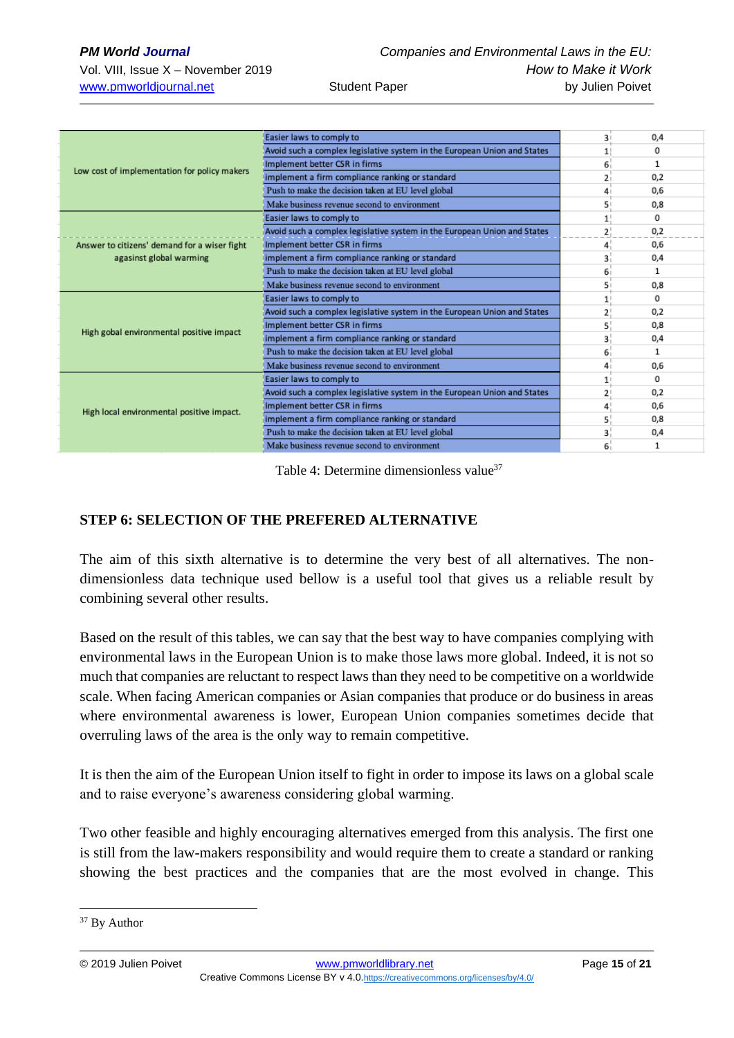|                                                                         | Easier laws to comply to                                                 | 3 <sup>1</sup> | 0,4      |
|-------------------------------------------------------------------------|--------------------------------------------------------------------------|----------------|----------|
|                                                                         | Avoid such a complex legislative system in the European Union and States |                | $\Omega$ |
|                                                                         | Implement better CSR in firms                                            | 6              | 1        |
| Low cost of implementation for policy makers                            | implement a firm compliance ranking or standard                          | 2              | 0,2      |
|                                                                         | Push to make the decision taken at EU level global                       |                | 0,6      |
| Answer to citizens' demand for a wiser fight<br>agasinst global warming | Make business revenue second to environment                              | 51             | 0,8      |
|                                                                         | Easier laws to comply to                                                 | $\mathbf{1}$   | 0        |
|                                                                         | Avoid such a complex legislative system in the European Union and States | $\overline{2}$ | 0,2      |
|                                                                         | Implement better CSR in firms                                            | 4              | 0,6      |
|                                                                         | implement a firm compliance ranking or standard                          | 3              | 0,4      |
|                                                                         | Push to make the decision taken at EU level global                       | 6              | 1        |
|                                                                         | Make business revenue second to environment                              | 51             | 0,8      |
|                                                                         | Easier laws to comply to                                                 | $\mathbf{1}$   | 0        |
|                                                                         | Avoid such a complex legislative system in the European Union and States | 2              | 0,2      |
| High gobal environmental positive impact                                | Implement better CSR in firms                                            | 5              | 0,8      |
|                                                                         | implement a firm compliance ranking or standard                          | 3              | 0,4      |
|                                                                         | Push to make the decision taken at EU level global                       | 6              | 1        |
|                                                                         | Make business revenue second to environment                              | 4              | 0,6      |
|                                                                         | Easier laws to comply to                                                 | 1 <sup>1</sup> | $\Omega$ |
|                                                                         | Avoid such a complex legislative system in the European Union and States | 2              | 0,2      |
| High local environmental positive impact.                               | Implement better CSR in firms                                            | 4              | 0,6      |
|                                                                         | implement a firm compliance ranking or standard                          | 5              | 0,8      |
|                                                                         | Push to make the decision taken at EU level global                       |                | 0,4      |
|                                                                         | Make business revenue second to environment                              |                |          |

Table 4: Determine dimensionless value<sup>37</sup>

## **STEP 6: SELECTION OF THE PREFERED ALTERNATIVE**

The aim of this sixth alternative is to determine the very best of all alternatives. The nondimensionless data technique used bellow is a useful tool that gives us a reliable result by combining several other results.

Based on the result of this tables, we can say that the best way to have companies complying with environmental laws in the European Union is to make those laws more global. Indeed, it is not so much that companies are reluctant to respect laws than they need to be competitive on a worldwide scale. When facing American companies or Asian companies that produce or do business in areas where environmental awareness is lower, European Union companies sometimes decide that overruling laws of the area is the only way to remain competitive.

It is then the aim of the European Union itself to fight in order to impose its laws on a global scale and to raise everyone's awareness considering global warming.

Two other feasible and highly encouraging alternatives emerged from this analysis. The first one is still from the law-makers responsibility and would require them to create a standard or ranking showing the best practices and the companies that are the most evolved in change. This

<sup>&</sup>lt;sup>37</sup> By Author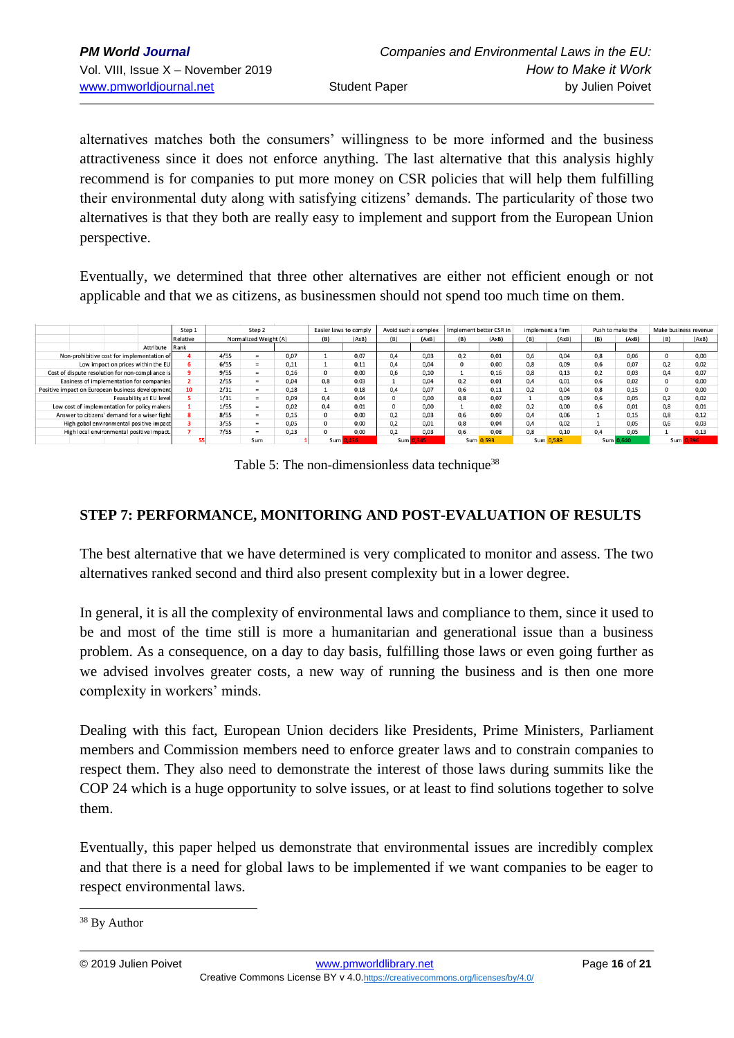alternatives matches both the consumers' willingness to be more informed and the business attractiveness since it does not enforce anything. The last alternative that this analysis highly recommend is for companies to put more money on CSR policies that will help them fulfilling their environmental duty along with satisfying citizens' demands. The particularity of those two alternatives is that they both are really easy to implement and support from the European Union perspective.

Eventually, we determined that three other alternatives are either not efficient enough or not applicable and that we as citizens, as businessmen should not spend too much time on them.

|                                                  |                                                  |                                    |                         | Step 1   | Step 2   |                       |      | Avoid such a complex<br>Easier laws to comply |       |                   | Implement better CSR in |           | implement a firm |      | Push to make the |          | Make business revenue |      |       |      |
|--------------------------------------------------|--------------------------------------------------|------------------------------------|-------------------------|----------|----------|-----------------------|------|-----------------------------------------------|-------|-------------------|-------------------------|-----------|------------------|------|------------------|----------|-----------------------|------|-------|------|
|                                                  |                                                  |                                    |                         | Relative |          | Normalized Weight (A) |      |                                               | (AxB) | (B)               | (AxB)                   | (B)       | (AxB)            | (B)  | (AxB)            | (B)      | (AxB)                 | (B)  | (AxB) |      |
|                                                  |                                                  |                                    | Attribute               | Rank     |          |                       |      |                                               |       |                   |                         |           |                  |      |                  |          |                       |      |       |      |
| Non-prohibitive cost for implementation of       |                                                  |                                    | 4/55                    |          | 0.07     |                       | 0.07 | 0.4                                           | 0.03  | 0.2               | 0.01                    | 0,6       | 0.04             | 0,8  | 0.06             | $\Omega$ | 0.00                  |      |       |      |
|                                                  |                                                  | Low impact on prices within the EU |                         |          | 6/55     | $=$                   | 0,11 |                                               | 0,11  | 0.4               | 0.04                    |           | 0,00             | 0,8  | 0,09             | 0,6      | 0,07                  | 0,2  | 0,02  |      |
| Cost of dispute resolution for non-compliance is |                                                  |                                    |                         | 9/55     | $=$      | 0,16                  | 0    | 0,00                                          | 0,6   | 0,10              |                         | 0,16      | 0,8              | 0,13 | 0,2              | 0,03     | 0,4                   | 0,07 |       |      |
| Easiness of implementation for companies         |                                                  |                                    |                         | 2/55     | $=$      | 0.04                  | 0.8  | 0.03                                          |       | 0.04              | 0.2                     | 0.01      | 0,4              | 0,01 | 0,6              | 0.02     |                       | 0,00 |       |      |
|                                                  | Positive impact on European business development |                                    |                         | 10       | 2/11     | $\equiv$              | 0,18 |                                               | 0.18  | 0.4               | 0.07                    | 0.6       | 0,11             | 0,2  | 0,04             | 0,8      | 0,15                  |      | 0.00  |      |
|                                                  |                                                  |                                    | Feasability at EU level |          | 1/11     | $=$                   | 0.09 | 0.4                                           | 0.04  | $\Omega$          | 0.00                    | 0.8       | 0,07             |      | 0,09             | 0,6      | 0.05                  | 0.2  | 0.02  |      |
|                                                  | Low cost of implementation for policy makers     |                                    |                         |          | 1/55     | $=$                   | 0,02 | 0,4                                           | 0,01  | $^{\circ}$        | 0,00                    |           | 0,02             | 0,2  | 0,00             | 0,6      | 0.01                  | 0,8  | 0,01  |      |
| Answer to citizens' demand for a wiser fight     |                                                  |                                    | 8/55                    | $\equiv$ | 0.15     | 0                     | 0.00 | 0.2                                           | 0.03  | 0.6               | 0.09                    | 0.4       | 0.06             |      | 0.15             | 0.8      | 0.12                  |      |       |      |
| High gobal environmental positive impact         |                                                  |                                    |                         | 3/55     | $\equiv$ | 0.05                  | 0    | 0.00                                          | 0.2   | 0.01              | 0.8                     | 0.04      | 0.4              | 0.02 |                  | 0.05     | 0.6                   | 0.03 |       |      |
| High local environmental positive impact.        |                                                  |                                    | 7/55                    | $=$      | 0,13     |                       | 0,00 | 0,2                                           | 0.03  | 0.6               | 0,08                    | 0,8       | 0,10             | 0,4  | 0,05             |          | 0.13                  |      |       |      |
|                                                  |                                                  |                                    |                         |          |          | Sum                   |      | Sum I                                         | 436   | 345<br><b>Sum</b> |                         | Sum 0.593 |                  |      | Sum 0,589        |          | Sum 0.640             |      | Sum   | .396 |

Table 5: The non-dimensionless data technique<sup>38</sup>

## **STEP 7: PERFORMANCE, MONITORING AND POST-EVALUATION OF RESULTS**

The best alternative that we have determined is very complicated to monitor and assess. The two alternatives ranked second and third also present complexity but in a lower degree.

In general, it is all the complexity of environmental laws and compliance to them, since it used to be and most of the time still is more a humanitarian and generational issue than a business problem. As a consequence, on a day to day basis, fulfilling those laws or even going further as we advised involves greater costs, a new way of running the business and is then one more complexity in workers' minds.

Dealing with this fact, European Union deciders like Presidents, Prime Ministers, Parliament members and Commission members need to enforce greater laws and to constrain companies to respect them. They also need to demonstrate the interest of those laws during summits like the COP 24 which is a huge opportunity to solve issues, or at least to find solutions together to solve them.

Eventually, this paper helped us demonstrate that environmental issues are incredibly complex and that there is a need for global laws to be implemented if we want companies to be eager to respect environmental laws.

<sup>38</sup> By Author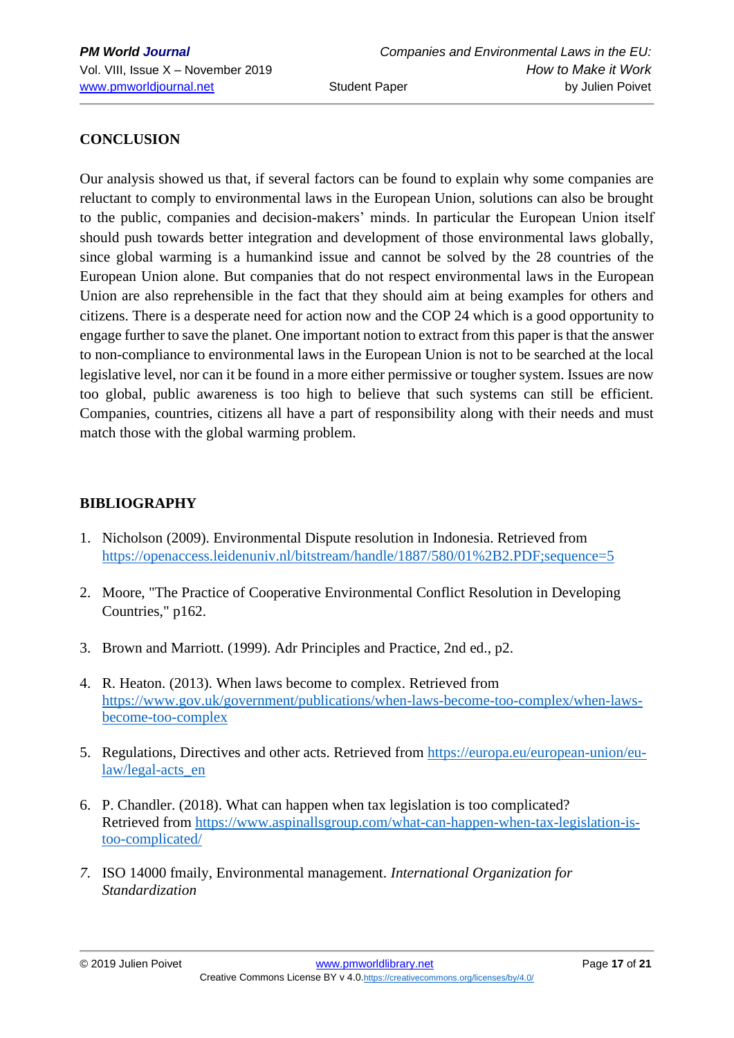## **CONCLUSION**

Our analysis showed us that, if several factors can be found to explain why some companies are reluctant to comply to environmental laws in the European Union, solutions can also be brought to the public, companies and decision-makers' minds. In particular the European Union itself should push towards better integration and development of those environmental laws globally, since global warming is a humankind issue and cannot be solved by the 28 countries of the European Union alone. But companies that do not respect environmental laws in the European Union are also reprehensible in the fact that they should aim at being examples for others and citizens. There is a desperate need for action now and the COP 24 which is a good opportunity to engage further to save the planet. One important notion to extract from this paper is that the answer to non-compliance to environmental laws in the European Union is not to be searched at the local legislative level, nor can it be found in a more either permissive or tougher system. Issues are now too global, public awareness is too high to believe that such systems can still be efficient. Companies, countries, citizens all have a part of responsibility along with their needs and must match those with the global warming problem.

### **BIBLIOGRAPHY**

- 1. Nicholson (2009). Environmental Dispute resolution in Indonesia. Retrieved from <https://openaccess.leidenuniv.nl/bitstream/handle/1887/580/01%2B2.PDF;sequence=5>
- 2. Moore, "The Practice of Cooperative Environmental Conflict Resolution in Developing Countries," p162.
- 3. Brown and Marriott. (1999). Adr Principles and Practice, 2nd ed., p2.
- 4. R. Heaton. (2013). When laws become to complex. Retrieved from [https://www.gov.uk/government/publications/when-laws-become-too-complex/when-laws](https://www.gov.uk/government/publications/when-laws-become-too-complex/when-laws-become-too-complex)[become-too-complex](https://www.gov.uk/government/publications/when-laws-become-too-complex/when-laws-become-too-complex)
- 5. Regulations, Directives and other acts. Retrieved from [https://europa.eu/european-union/eu](https://europa.eu/european-union/eu-law/legal-acts_en)[law/legal-acts\\_en](https://europa.eu/european-union/eu-law/legal-acts_en)
- 6. P. Chandler. (2018). What can happen when tax legislation is too complicated? Retrieved from [https://www.aspinallsgroup.com/what-can-happen-when-tax-legislation-is](https://www.aspinallsgroup.com/what-can-happen-when-tax-legislation-is-too-complicated/)[too-complicated/](https://www.aspinallsgroup.com/what-can-happen-when-tax-legislation-is-too-complicated/)
- *7.* ISO 14000 fmaily, Environmental management. *International Organization for Standardization*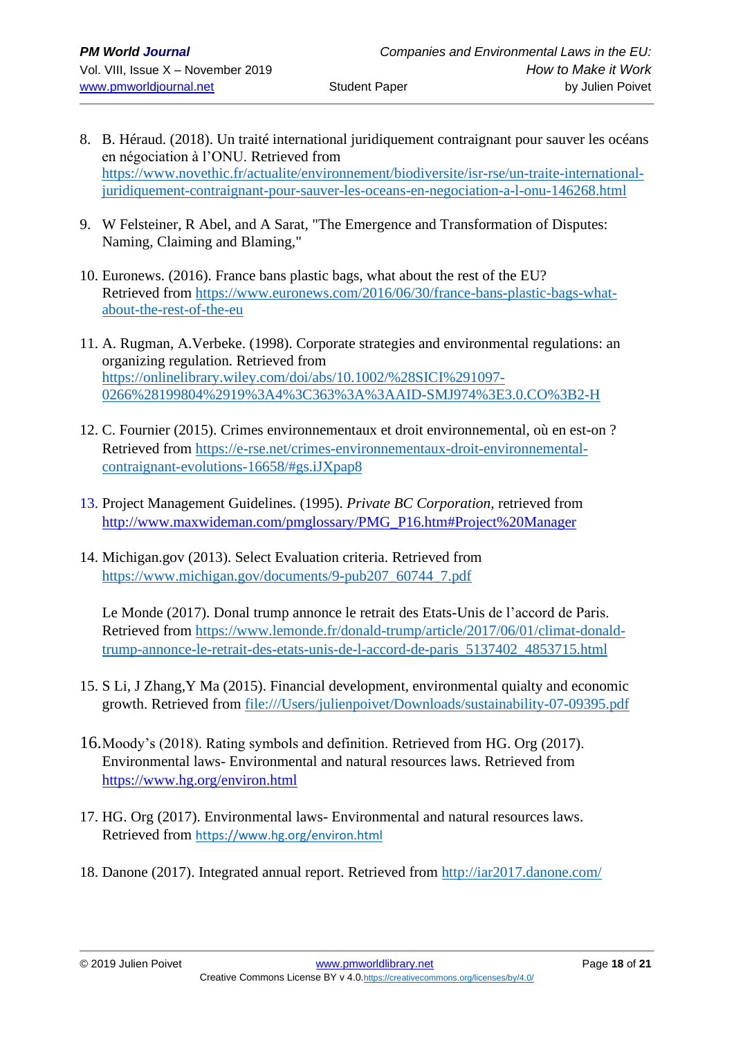- 8. B. Héraud. (2018). Un traité international juridiquement contraignant pour sauver les océans en négociation à l'ONU. Retrieved from [https://www.novethic.fr/actualite/environnement/biodiversite/isr-rse/un-traite-international](https://www.novethic.fr/actualite/environnement/biodiversite/isr-rse/un-traite-international-juridiquement-contraignant-pour-sauver-les-oceans-en-negociation-a-l-onu-146268.html)[juridiquement-contraignant-pour-sauver-les-oceans-en-negociation-a-l-onu-146268.html](https://www.novethic.fr/actualite/environnement/biodiversite/isr-rse/un-traite-international-juridiquement-contraignant-pour-sauver-les-oceans-en-negociation-a-l-onu-146268.html)
- 9. W Felsteiner, R Abel, and A Sarat, "The Emergence and Transformation of Disputes: Naming, Claiming and Blaming,"
- 10. Euronews. (2016). France bans plastic bags, what about the rest of the EU? Retrieved from [https://www.euronews.com/2016/06/30/france-bans-plastic-bags-what](https://www.euronews.com/2016/06/30/france-bans-plastic-bags-what-about-the-rest-of-the-eu)[about-the-rest-of-the-eu](https://www.euronews.com/2016/06/30/france-bans-plastic-bags-what-about-the-rest-of-the-eu)
- 11. A. Rugman, A.Verbeke. (1998). Corporate strategies and environmental regulations: an organizing regulation. Retrieved from [https://onlinelibrary.wiley.com/doi/abs/10.1002/%28SICI%291097-](https://onlinelibrary.wiley.com/doi/abs/10.1002/%28SICI%291097-0266%28199804%2919%3A4%3C363%3A%3AAID-SMJ974%3E3.0.CO%3B2-H) [0266%28199804%2919%3A4%3C363%3A%3AAID-SMJ974%3E3.0.CO%3B2-H](https://onlinelibrary.wiley.com/doi/abs/10.1002/%28SICI%291097-0266%28199804%2919%3A4%3C363%3A%3AAID-SMJ974%3E3.0.CO%3B2-H)
- 12. C. Fournier (2015). Crimes environnementaux et droit environnemental, où en est-on ? Retrieved from [https://e-rse.net/crimes-environnementaux-droit-environnemental](https://e-rse.net/crimes-environnementaux-droit-environnemental-contraignant-evolutions-16658/#gs.iJXpap8)[contraignant-evolutions-16658/#gs.iJXpap8](https://e-rse.net/crimes-environnementaux-droit-environnemental-contraignant-evolutions-16658/#gs.iJXpap8)
- 13. Project Management Guidelines. (1995). *Private BC Corporation,* retrieved from [http://www.maxwideman.com/pmglossary/PMG\\_P16.htm#Project%20Manager](http://www.maxwideman.com/pmglossary/PMG_P16.htm#Project%20Manager)
- 14. Michigan.gov (2013). Select Evaluation criteria. Retrieved from [https://www.michigan.gov/documents/9-pub207\\_60744\\_7.pdf](https://www.michigan.gov/documents/9-pub207_60744_7.pdf)

Le Monde (2017). Donal trump annonce le retrait des Etats-Unis de l'accord de Paris. Retrieved from [https://www.lemonde.fr/donald-trump/article/2017/06/01/climat-donald](https://www.lemonde.fr/donald-trump/article/2017/06/01/climat-donald-trump-annonce-le-retrait-des-etats-unis-de-l-accord-de-paris_5137402_4853715.html)[trump-annonce-le-retrait-des-etats-unis-de-l-accord-de-paris\\_5137402\\_4853715.html](https://www.lemonde.fr/donald-trump/article/2017/06/01/climat-donald-trump-annonce-le-retrait-des-etats-unis-de-l-accord-de-paris_5137402_4853715.html)

- 15. S Li, J Zhang,Y Ma (2015). Financial development, environmental quialty and economic growth. Retrieved from [file:///Users/julienpoivet/Downloads/sustainability-07-09395.pdf](file:///C:/Users/julienpoivet/Downloads/sustainability-07-09395.pdf)
- 16.Moody's (2018). Rating symbols and definition. Retrieved from HG. Org (2017). Environmental laws- Environmental and natural resources laws. Retrieved from <https://www.hg.org/environ.html>
- 17. HG. Org (2017). Environmental laws- Environmental and natural resources laws. Retrieved from <https://www.hg.org/environ.html>
- 18. Danone (2017). Integrated annual report. Retrieved from<http://iar2017.danone.com/>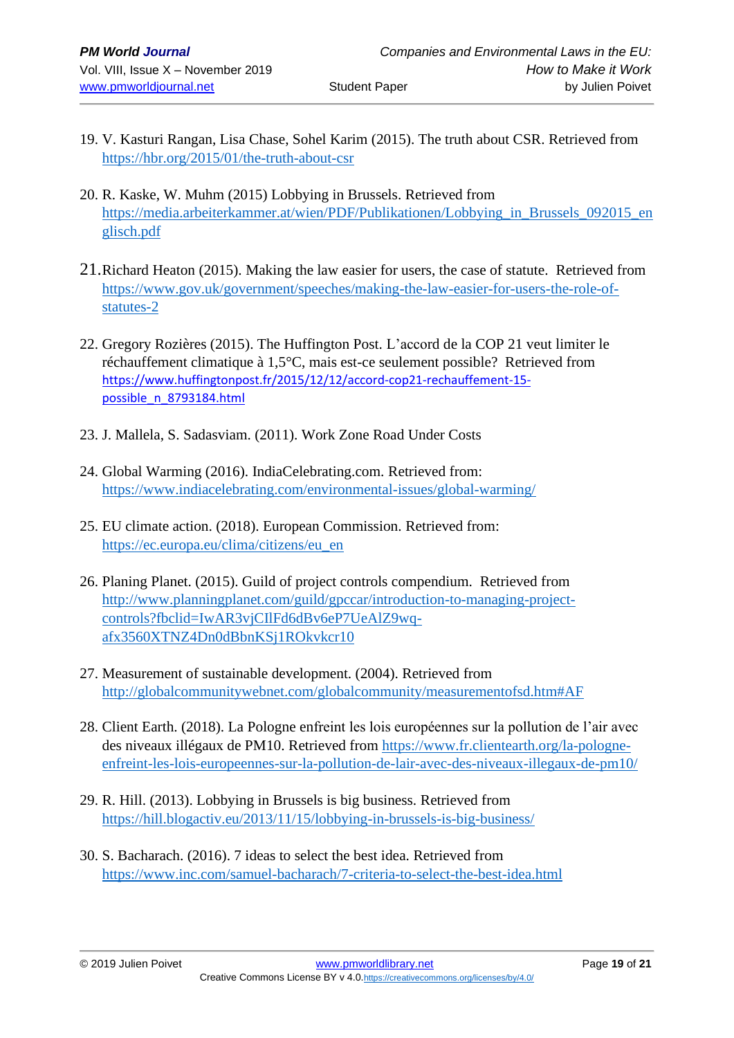- 19. V. [Kasturi Rangan,](https://hbr.org/search?term=v.%20kasturi%20rangan) [Lisa Chase,](https://hbr.org/search?term=lisa%20chase) [Sohel Karim](https://hbr.org/search?term=sohel%20karim) (2015). The truth about CSR. Retrieved from <https://hbr.org/2015/01/the-truth-about-csr>
- 20. R. Kaske, W. Muhm (2015) Lobbying in Brussels. Retrieved from [https://media.arbeiterkammer.at/wien/PDF/Publikationen/Lobbying\\_in\\_Brussels\\_092015\\_en](https://media.arbeiterkammer.at/wien/PDF/Publikationen/Lobbying_in_Brussels_092015_englisch.pdf) [glisch.pdf](https://media.arbeiterkammer.at/wien/PDF/Publikationen/Lobbying_in_Brussels_092015_englisch.pdf)
- 21.Richard Heaton (2015). Making the law easier for users, the case of statute. Retrieved from [https://www.gov.uk/government/speeches/making-the-law-easier-for-users-the-role-of](https://www.gov.uk/government/speeches/making-the-law-easier-for-users-the-role-of-statutes-2)[statutes-2](https://www.gov.uk/government/speeches/making-the-law-easier-for-users-the-role-of-statutes-2)
- 22. Gregory Rozières (2015). The Huffington Post. L'accord de la COP 21 veut limiter le réchauffement climatique à 1,5°C, mais est-ce seulement possible? Retrieved from [https://www.huffingtonpost.fr/2015/12/12/accord-cop21-rechauffement-15](https://www.huffingtonpost.fr/2015/12/12/accord-cop21-rechauffement-15-possible_n_8793184.html) [possible\\_n\\_8793184.html](https://www.huffingtonpost.fr/2015/12/12/accord-cop21-rechauffement-15-possible_n_8793184.html)
- 23. J. Mallela, S. Sadasviam. (2011). Work Zone Road Under Costs
- 24. Global Warming (2016). IndiaCelebrating.com. Retrieved from: <https://www.indiacelebrating.com/environmental-issues/global-warming/>
- 25. EU climate action. (2018). European Commission. Retrieved from: [https://ec.europa.eu/clima/citizens/eu\\_en](https://ec.europa.eu/clima/citizens/eu_en)
- 26. Planing Planet. (2015). Guild of project controls compendium. Retrieved from [http://www.planningplanet.com/guild/gpccar/introduction-to-managing-project](http://www.planningplanet.com/guild/gpccar/introduction-to-managing-project-controls?fbclid=IwAR3vjCIlFd6dBv6eP7UeAlZ9wq-afx3560XTNZ4Dn0dBbnKSj1ROkvkcr10)[controls?fbclid=IwAR3vjCIlFd6dBv6eP7UeAlZ9wq](http://www.planningplanet.com/guild/gpccar/introduction-to-managing-project-controls?fbclid=IwAR3vjCIlFd6dBv6eP7UeAlZ9wq-afx3560XTNZ4Dn0dBbnKSj1ROkvkcr10)[afx3560XTNZ4Dn0dBbnKSj1ROkvkcr10](http://www.planningplanet.com/guild/gpccar/introduction-to-managing-project-controls?fbclid=IwAR3vjCIlFd6dBv6eP7UeAlZ9wq-afx3560XTNZ4Dn0dBbnKSj1ROkvkcr10)
- 27. Measurement of sustainable development. (2004). Retrieved from <http://globalcommunitywebnet.com/globalcommunity/measurementofsd.htm#AF>
- 28. Client Earth. (2018). La Pologne enfreint les lois européennes sur la pollution de l'air avec des niveaux illégaux de PM10. Retrieved from [https://www.fr.clientearth.org/la-pologne](https://www.fr.clientearth.org/la-pologne-enfreint-les-lois-europeennes-sur-la-pollution-de-lair-avec-des-niveaux-illegaux-de-pm10/)[enfreint-les-lois-europeennes-sur-la-pollution-de-lair-avec-des-niveaux-illegaux-de-pm10/](https://www.fr.clientearth.org/la-pologne-enfreint-les-lois-europeennes-sur-la-pollution-de-lair-avec-des-niveaux-illegaux-de-pm10/)
- 29. R. Hill. (2013). Lobbying in Brussels is big business. Retrieved from <https://hill.blogactiv.eu/2013/11/15/lobbying-in-brussels-is-big-business/>
- 30. S. Bacharach. (2016). 7 ideas to select the best idea. Retrieved from <https://www.inc.com/samuel-bacharach/7-criteria-to-select-the-best-idea.html>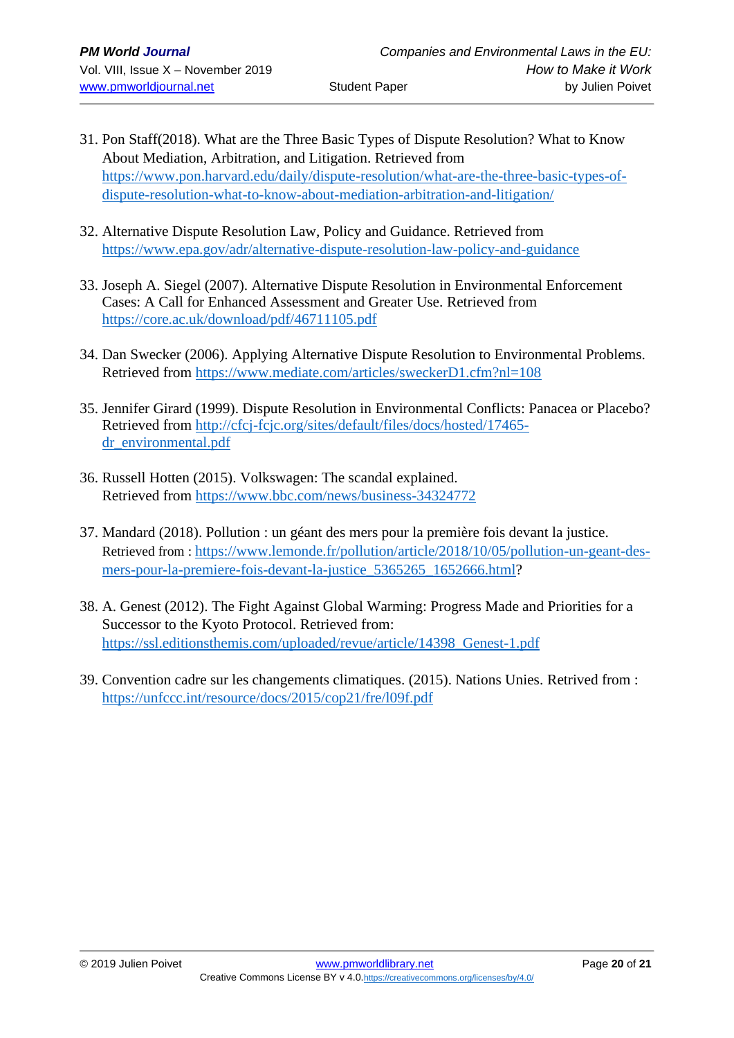- 31. Pon Staff(2018). What are the Three Basic Types of Dispute Resolution? What to Know About Mediation, Arbitration, and Litigation. Retrieved from [https://www.pon.harvard.edu/daily/dispute-resolution/what-are-the-three-basic-types-of](https://www.pon.harvard.edu/daily/dispute-resolution/what-are-the-three-basic-types-of-dispute-resolution-what-to-know-about-mediation-arbitration-and-litigation/)[dispute-resolution-what-to-know-about-mediation-arbitration-and-litigation/](https://www.pon.harvard.edu/daily/dispute-resolution/what-are-the-three-basic-types-of-dispute-resolution-what-to-know-about-mediation-arbitration-and-litigation/)
- 32. Alternative Dispute Resolution Law, Policy and Guidance. Retrieved from <https://www.epa.gov/adr/alternative-dispute-resolution-law-policy-and-guidance>
- 33. Joseph A. Siegel (2007). Alternative Dispute Resolution in Environmental Enforcement Cases: A Call for Enhanced Assessment and Greater Use. Retrieved from <https://core.ac.uk/download/pdf/46711105.pdf>
- 34. [Dan Swecker](https://www.mediate.com/articles/sweckerD1.cfm?nl=108#bio) (2006). Applying Alternative Dispute Resolution to Environmental Problems. Retrieved from<https://www.mediate.com/articles/sweckerD1.cfm?nl=108>
- 35. Jennifer Girard (1999). Dispute Resolution in Environmental Conflicts: Panacea or Placebo? Retrieved from [http://cfcj-fcjc.org/sites/default/files/docs/hosted/17465](http://cfcj-fcjc.org/sites/default/files/docs/hosted/17465-dr_environmental.pdf) [dr\\_environmental.pdf](http://cfcj-fcjc.org/sites/default/files/docs/hosted/17465-dr_environmental.pdf)
- 36. Russell Hotten (2015). Volkswagen: The scandal explained. Retrieved from<https://www.bbc.com/news/business-34324772>
- 37. Mandard (2018). Pollution : un géant des mers pour la première fois devant la justice. Retrieved from : [https://www.lemonde.fr/pollution/article/2018/10/05/pollution-un-geant-des](https://www.lemonde.fr/pollution/article/2018/10/05/pollution-un-geant-des-mers-pour-la-premiere-fois-devant-la-justice_5365265_1652666.html)mers-pour-la-premiere-fois-devant-la-justice 5365265 1652666.html?
- 38. A. Genest (2012). The Fight Against Global Warming: Progress Made and Priorities for a Successor to the Kyoto Protocol. Retrieved from: [https://ssl.editionsthemis.com/uploaded/revue/article/14398\\_Genest-1.pdf](https://ssl.editionsthemis.com/uploaded/revue/article/14398_Genest-1.pdf)
- 39. Convention cadre sur les changements climatiques. (2015). Nations Unies. Retrived from : <https://unfccc.int/resource/docs/2015/cop21/fre/l09f.pdf>